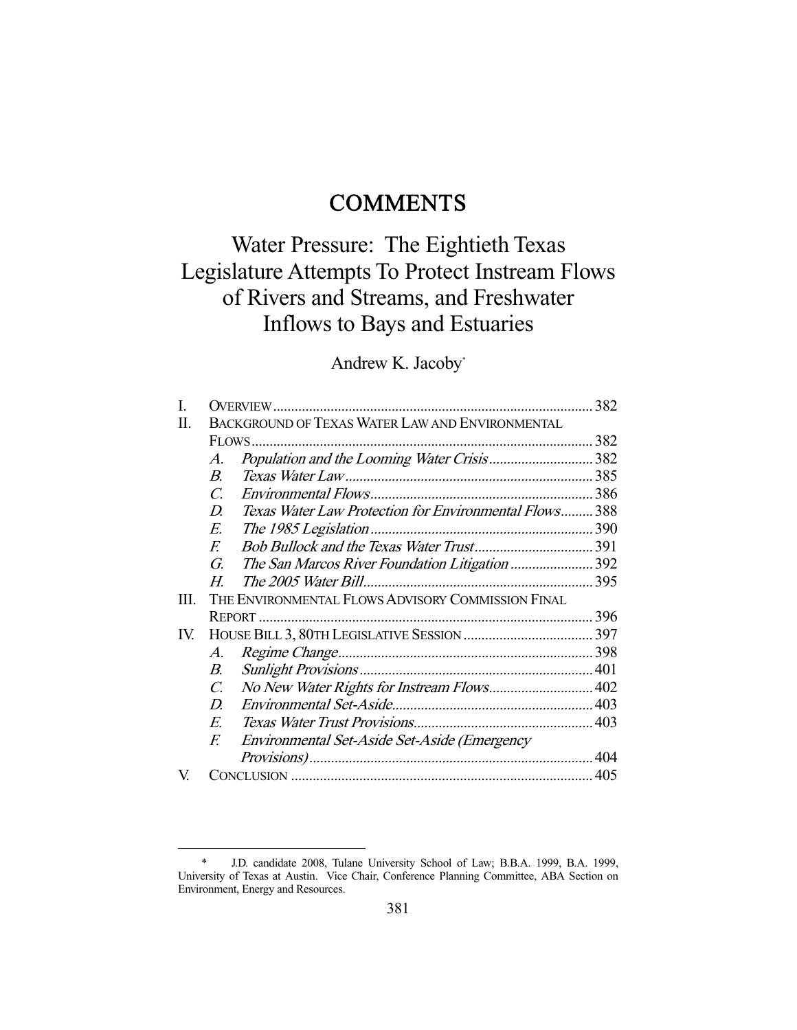# **COMMENTS**

# Water Pressure: The Eightieth Texas Legislature Attempts To Protect Instream Flows of Rivers and Streams, and Freshwater Inflows to Bays and Estuaries

# Andrew K. Jacoby\*

|                                                         |                                              | 382                                                                                                                                                    |
|---------------------------------------------------------|----------------------------------------------|--------------------------------------------------------------------------------------------------------------------------------------------------------|
| <b>BACKGROUND OF TEXAS WATER LAW AND ENVIRONMENTAL</b>  |                                              |                                                                                                                                                        |
|                                                         |                                              |                                                                                                                                                        |
| A.                                                      |                                              |                                                                                                                                                        |
| $B_{\cdot}$                                             |                                              |                                                                                                                                                        |
| C.                                                      |                                              |                                                                                                                                                        |
| D.                                                      |                                              |                                                                                                                                                        |
| E.                                                      |                                              |                                                                                                                                                        |
| F.                                                      |                                              |                                                                                                                                                        |
| G.                                                      |                                              |                                                                                                                                                        |
| Н.                                                      |                                              |                                                                                                                                                        |
| THE ENVIRONMENTAL FLOWS ADVISORY COMMISSION FINAL<br>Ш. |                                              |                                                                                                                                                        |
|                                                         |                                              |                                                                                                                                                        |
|                                                         |                                              |                                                                                                                                                        |
| A.                                                      |                                              |                                                                                                                                                        |
| В.                                                      |                                              |                                                                                                                                                        |
| C.                                                      |                                              |                                                                                                                                                        |
| D.                                                      |                                              |                                                                                                                                                        |
| E.                                                      |                                              |                                                                                                                                                        |
| F.                                                      | Environmental Set-Aside Set-Aside (Emergency |                                                                                                                                                        |
|                                                         |                                              |                                                                                                                                                        |
|                                                         |                                              |                                                                                                                                                        |
|                                                         |                                              | Population and the Looming Water Crisis382<br>Texas Water Law Protection for Environmental Flows 388<br>The San Marcos River Foundation Litigation 392 |

 <sup>\*</sup> J.D. candidate 2008, Tulane University School of Law; B.B.A. 1999, B.A. 1999, University of Texas at Austin. Vice Chair, Conference Planning Committee, ABA Section on Environment, Energy and Resources.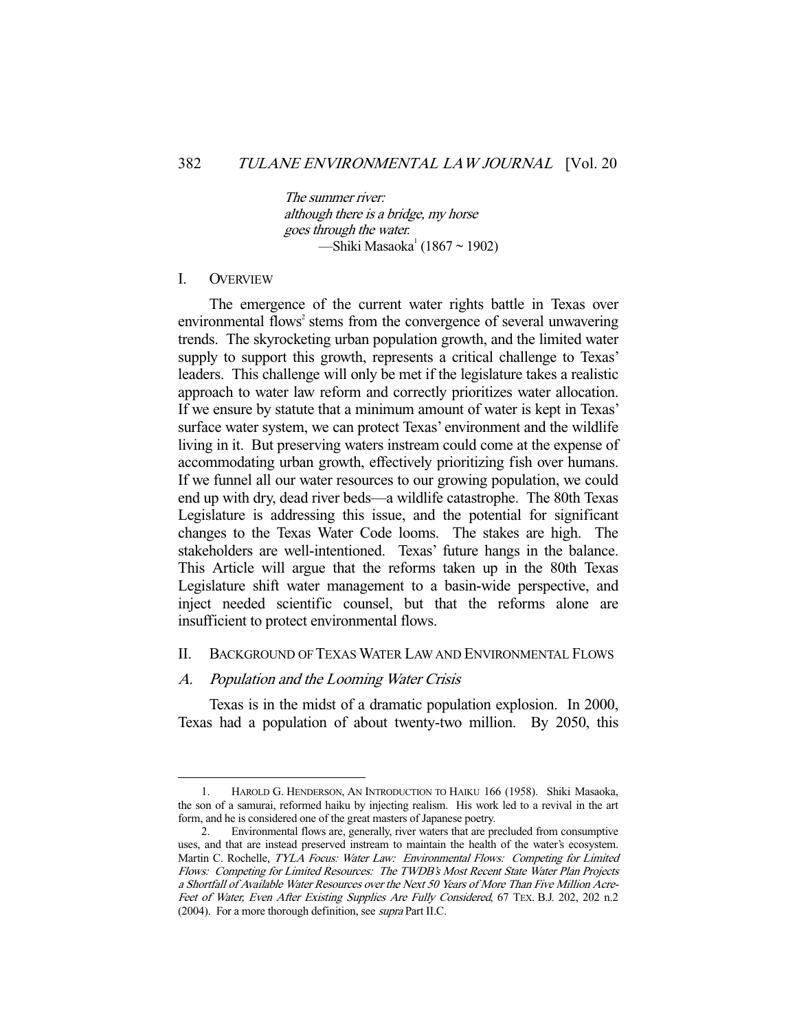The summer river: although there is a bridge, my horse goes through the water. —Shiki Masaoka<sup>1</sup> (1867 ~ 1902)

#### I. OVERVIEW

-

 The emergence of the current water rights battle in Texas over environmental flows<sup>2</sup> stems from the convergence of several unwavering trends. The skyrocketing urban population growth, and the limited water supply to support this growth, represents a critical challenge to Texas' leaders. This challenge will only be met if the legislature takes a realistic approach to water law reform and correctly prioritizes water allocation. If we ensure by statute that a minimum amount of water is kept in Texas' surface water system, we can protect Texas' environment and the wildlife living in it. But preserving waters instream could come at the expense of accommodating urban growth, effectively prioritizing fish over humans. If we funnel all our water resources to our growing population, we could end up with dry, dead river beds—a wildlife catastrophe. The 80th Texas Legislature is addressing this issue, and the potential for significant changes to the Texas Water Code looms. The stakes are high. The stakeholders are well-intentioned. Texas' future hangs in the balance. This Article will argue that the reforms taken up in the 80th Texas Legislature shift water management to a basin-wide perspective, and inject needed scientific counsel, but that the reforms alone are insufficient to protect environmental flows.

# II. BACKGROUND OF TEXAS WATER LAW AND ENVIRONMENTAL FLOWS

#### A. Population and the Looming Water Crisis

Texas is in the midst of a dramatic population explosion. In 2000, Texas had a population of about twenty-two million. By 2050, this

 <sup>1.</sup> HAROLD G. HENDERSON, AN INTRODUCTION TO HAIKU 166 (1958). Shiki Masaoka, the son of a samurai, reformed haiku by injecting realism. His work led to a revival in the art form, and he is considered one of the great masters of Japanese poetry.

 <sup>2.</sup> Environmental flows are, generally, river waters that are precluded from consumptive uses, and that are instead preserved instream to maintain the health of the water's ecosystem. Martin C. Rochelle, TYLA Focus: Water Law: Environmental Flows: Competing for Limited Flows: Competing for Limited Resources: The TWDB's Most Recent State Water Plan Projects a Shortfall of Available Water Resources over the Next 50 Years of More Than Five Million Acre-Feet of Water, Even After Existing Supplies Are Fully Considered, 67 TEX. B.J. 202, 202 n.2 (2004). For a more thorough definition, see supra Part II.C.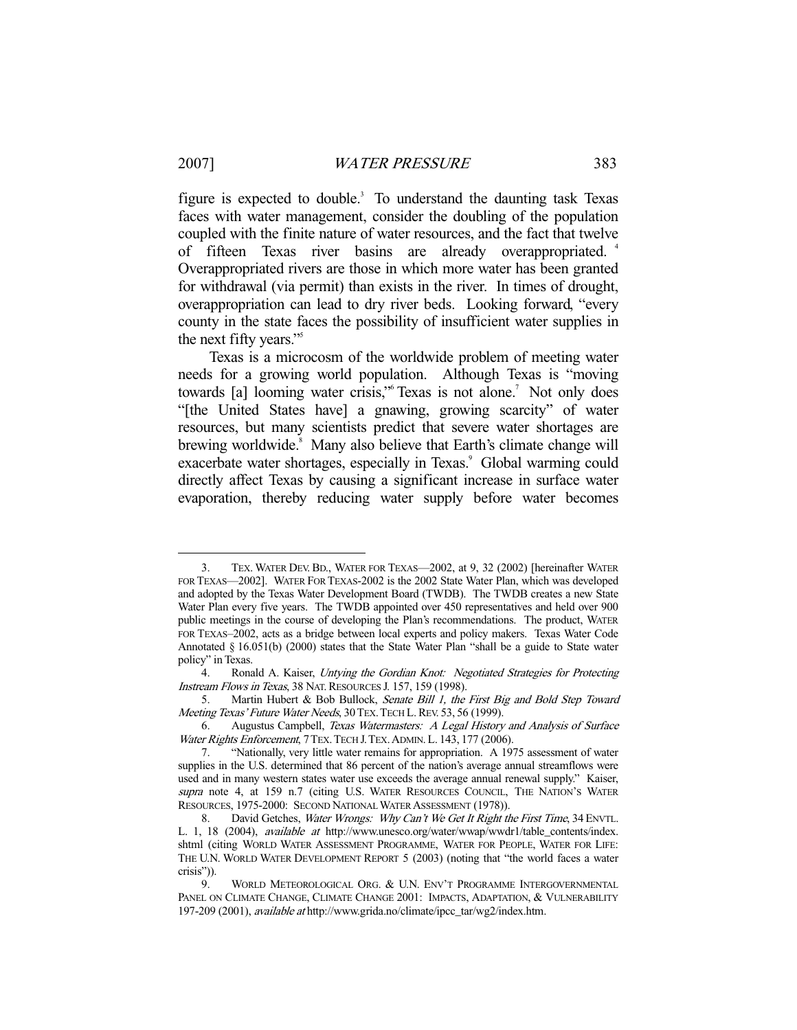-

figure is expected to double.<sup>3</sup> To understand the daunting task Texas faces with water management, consider the doubling of the population coupled with the finite nature of water resources, and the fact that twelve of fifteen Texas river basins are already overappropriated. <sup>4</sup> Overappropriated rivers are those in which more water has been granted for withdrawal (via permit) than exists in the river. In times of drought, overappropriation can lead to dry river beds. Looking forward, "every county in the state faces the possibility of insufficient water supplies in the next fifty years."<sup>5</sup>

 Texas is a microcosm of the worldwide problem of meeting water needs for a growing world population. Although Texas is "moving towards [a] looming water crisis," Texas is not alone.<sup>7</sup> Not only does "[the United States have] a gnawing, growing scarcity" of water resources, but many scientists predict that severe water shortages are brewing worldwide.<sup>8</sup> Many also believe that Earth's climate change will exacerbate water shortages, especially in Texas.<sup>9</sup> Global warming could directly affect Texas by causing a significant increase in surface water evaporation, thereby reducing water supply before water becomes

 <sup>3.</sup> TEX. WATER DEV. BD., WATER FOR TEXAS—2002, at 9, 32 (2002) [hereinafter WATER FOR TEXAS—2002]. WATER FOR TEXAS-2002 is the 2002 State Water Plan, which was developed and adopted by the Texas Water Development Board (TWDB). The TWDB creates a new State Water Plan every five years. The TWDB appointed over 450 representatives and held over 900 public meetings in the course of developing the Plan's recommendations. The product, WATER FOR TEXAS–2002, acts as a bridge between local experts and policy makers. Texas Water Code Annotated § 16.051(b) (2000) states that the State Water Plan "shall be a guide to State water policy" in Texas.

<sup>4.</sup> Ronald A. Kaiser, Untying the Gordian Knot: Negotiated Strategies for Protecting Instream Flows in Texas, 38 NAT. RESOURCES J. 157, 159 (1998).

<sup>5.</sup> Martin Hubert & Bob Bullock, Senate Bill 1, the First Big and Bold Step Toward Meeting Texas' Future Water Needs, 30 TEX. TECH L. REV. 53, 56 (1999).

 <sup>6.</sup> Augustus Campbell, Texas Watermasters: A Legal History and Analysis of Surface Water Rights Enforcement, 7 TEX. TECH J. TEX. ADMIN. L. 143, 177 (2006).

 <sup>7. &</sup>quot;Nationally, very little water remains for appropriation. A 1975 assessment of water supplies in the U.S. determined that 86 percent of the nation's average annual streamflows were used and in many western states water use exceeds the average annual renewal supply." Kaiser, supra note 4, at 159 n.7 (citing U.S. WATER RESOURCES COUNCIL, THE NATION'S WATER RESOURCES, 1975-2000: SECOND NATIONAL WATER ASSESSMENT (1978)).

<sup>8.</sup> David Getches, Water Wrongs: Why Can't We Get It Right the First Time, 34 ENVTL. L. 1, 18 (2004), available at http://www.unesco.org/water/wwap/wwdr1/table\_contents/index. shtml (citing WORLD WATER ASSESSMENT PROGRAMME, WATER FOR PEOPLE, WATER FOR LIFE: THE U.N. WORLD WATER DEVELOPMENT REPORT 5 (2003) (noting that "the world faces a water crisis")).

 <sup>9.</sup> WORLD METEOROLOGICAL ORG. & U.N. ENV'T PROGRAMME INTERGOVERNMENTAL PANEL ON CLIMATE CHANGE, CLIMATE CHANGE 2001: IMPACTS, ADAPTATION, & VULNERABILITY 197-209 (2001), available at http://www.grida.no/climate/ipcc\_tar/wg2/index.htm.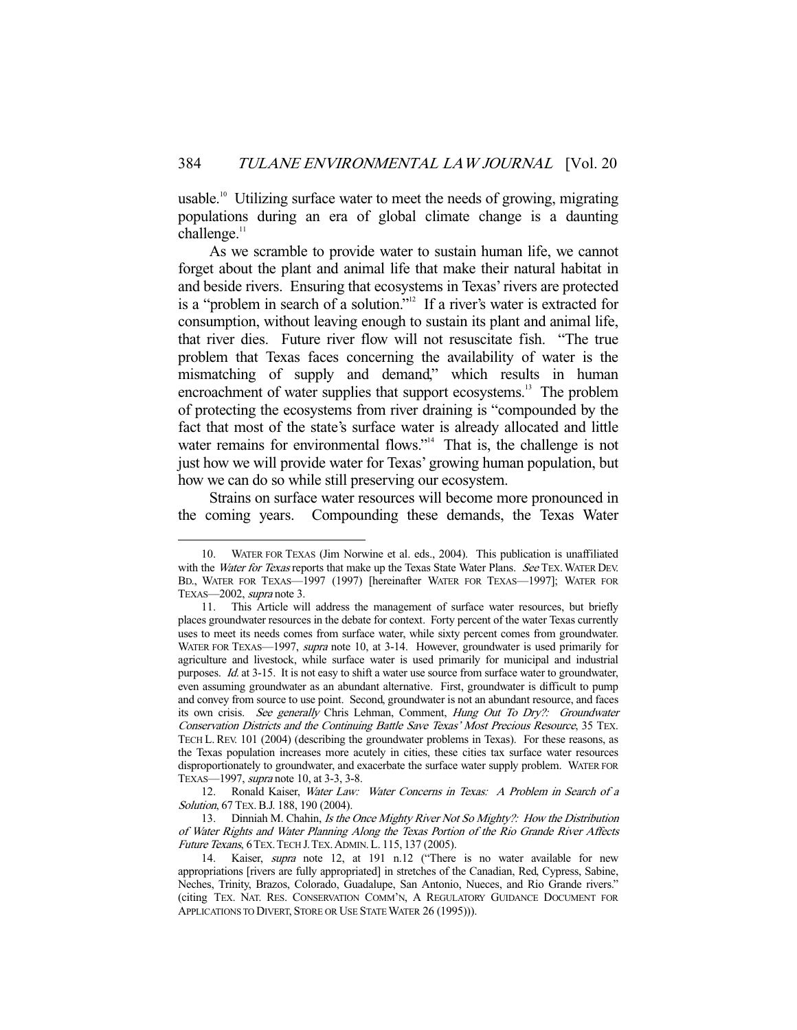usable.<sup>10</sup> Utilizing surface water to meet the needs of growing, migrating populations during an era of global climate change is a daunting  $challene.$ <sup>11</sup>

 As we scramble to provide water to sustain human life, we cannot forget about the plant and animal life that make their natural habitat in and beside rivers. Ensuring that ecosystems in Texas' rivers are protected is a "problem in search of a solution."<sup>12</sup> If a river's water is extracted for consumption, without leaving enough to sustain its plant and animal life, that river dies. Future river flow will not resuscitate fish. "The true problem that Texas faces concerning the availability of water is the mismatching of supply and demand," which results in human encroachment of water supplies that support ecosystems.<sup>13</sup> The problem of protecting the ecosystems from river draining is "compounded by the fact that most of the state's surface water is already allocated and little water remains for environmental flows."<sup>14</sup> That is, the challenge is not just how we will provide water for Texas' growing human population, but how we can do so while still preserving our ecosystem.

 Strains on surface water resources will become more pronounced in the coming years. Compounding these demands, the Texas Water

 <sup>10.</sup> WATER FOR TEXAS (Jim Norwine et al. eds., 2004). This publication is unaffiliated with the *Water for Texas* reports that make up the Texas State Water Plans. See TEX. WATER DEV. BD., WATER FOR TEXAS—1997 (1997) [hereinafter WATER FOR TEXAS—1997]; WATER FOR TEXAS—2002, supra note 3.

 <sup>11.</sup> This Article will address the management of surface water resources, but briefly places groundwater resources in the debate for context. Forty percent of the water Texas currently uses to meet its needs comes from surface water, while sixty percent comes from groundwater. WATER FOR TEXAS-1997, supra note 10, at 3-14. However, groundwater is used primarily for agriculture and livestock, while surface water is used primarily for municipal and industrial purposes. Id. at 3-15. It is not easy to shift a water use source from surface water to groundwater, even assuming groundwater as an abundant alternative. First, groundwater is difficult to pump and convey from source to use point. Second, groundwater is not an abundant resource, and faces its own crisis. See generally Chris Lehman, Comment, Hung Out To Dry?: Groundwater Conservation Districts and the Continuing Battle Save Texas' Most Precious Resource, 35 TEX. TECH L. REV. 101 (2004) (describing the groundwater problems in Texas). For these reasons, as the Texas population increases more acutely in cities, these cities tax surface water resources disproportionately to groundwater, and exacerbate the surface water supply problem. WATER FOR TEXAS—1997, supra note 10, at 3-3, 3-8.

<sup>12.</sup> Ronald Kaiser, Water Law: Water Concerns in Texas: A Problem in Search of a Solution, 67 TEX. B.J. 188, 190 (2004).

<sup>13.</sup> Dinniah M. Chahin, Is the Once Mighty River Not So Mighty?: How the Distribution of Water Rights and Water Planning Along the Texas Portion of the Rio Grande River Affects Future Texans, 6 TEX. TECH J. TEX. ADMIN. L. 115, 137 (2005).

<sup>14.</sup> Kaiser, *supra* note 12, at 191 n.12 ("There is no water available for new appropriations [rivers are fully appropriated] in stretches of the Canadian, Red, Cypress, Sabine, Neches, Trinity, Brazos, Colorado, Guadalupe, San Antonio, Nueces, and Rio Grande rivers." (citing TEX. NAT. RES. CONSERVATION COMM'N, A REGULATORY GUIDANCE DOCUMENT FOR APPLICATIONS TO DIVERT, STORE OR USE STATE WATER 26 (1995))).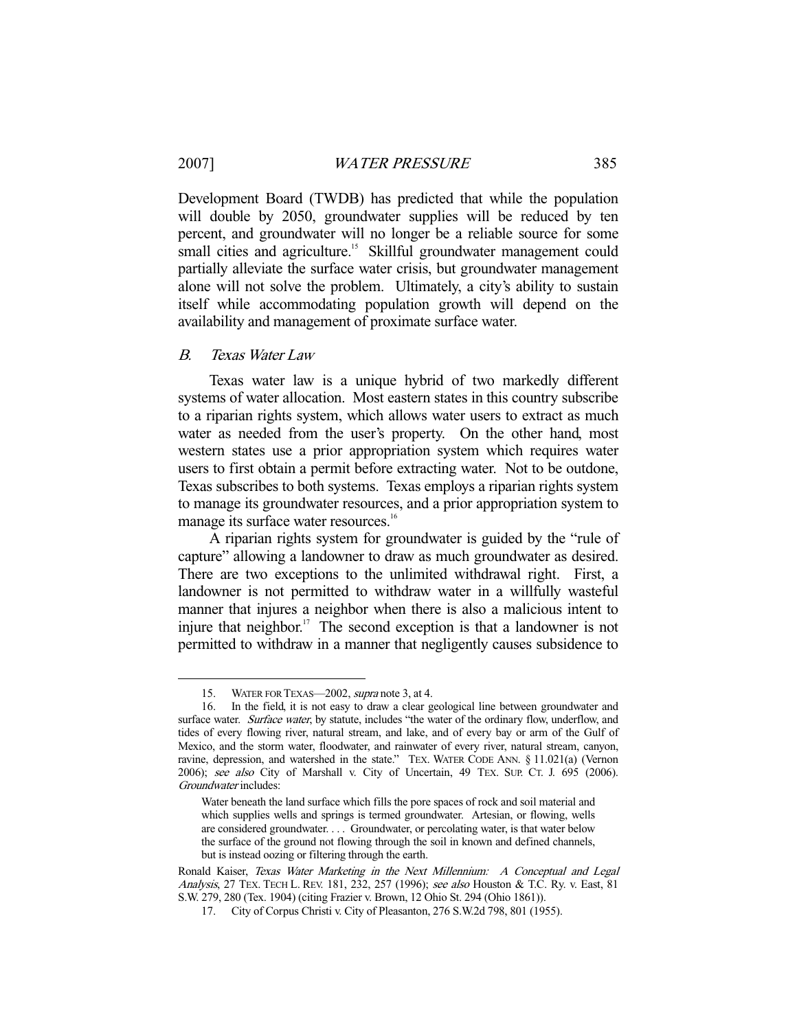-

Development Board (TWDB) has predicted that while the population will double by 2050, groundwater supplies will be reduced by ten percent, and groundwater will no longer be a reliable source for some small cities and agriculture.<sup>15</sup> Skillful groundwater management could partially alleviate the surface water crisis, but groundwater management alone will not solve the problem. Ultimately, a city's ability to sustain itself while accommodating population growth will depend on the availability and management of proximate surface water.

# B. Texas Water Law

 Texas water law is a unique hybrid of two markedly different systems of water allocation. Most eastern states in this country subscribe to a riparian rights system, which allows water users to extract as much water as needed from the user's property. On the other hand, most western states use a prior appropriation system which requires water users to first obtain a permit before extracting water. Not to be outdone, Texas subscribes to both systems. Texas employs a riparian rights system to manage its groundwater resources, and a prior appropriation system to manage its surface water resources.<sup>16</sup>

 A riparian rights system for groundwater is guided by the "rule of capture" allowing a landowner to draw as much groundwater as desired. There are two exceptions to the unlimited withdrawal right. First, a landowner is not permitted to withdraw water in a willfully wasteful manner that injures a neighbor when there is also a malicious intent to injure that neighbor.<sup>17</sup> The second exception is that a landowner is not permitted to withdraw in a manner that negligently causes subsidence to

<sup>15.</sup> WATER FOR TEXAS—2002, *supra* note 3, at 4.

 <sup>16.</sup> In the field, it is not easy to draw a clear geological line between groundwater and surface water. Surface water, by statute, includes "the water of the ordinary flow, underflow, and tides of every flowing river, natural stream, and lake, and of every bay or arm of the Gulf of Mexico, and the storm water, floodwater, and rainwater of every river, natural stream, canyon, ravine, depression, and watershed in the state." TEX. WATER CODE ANN. § 11.021(a) (Vernon 2006); see also City of Marshall v. City of Uncertain, 49 TEX. SUP. CT. J. 695 (2006). Groundwater includes:

Water beneath the land surface which fills the pore spaces of rock and soil material and which supplies wells and springs is termed groundwater. Artesian, or flowing, wells are considered groundwater. . . . Groundwater, or percolating water, is that water below the surface of the ground not flowing through the soil in known and defined channels, but is instead oozing or filtering through the earth.

Ronald Kaiser, Texas Water Marketing in the Next Millennium: A Conceptual and Legal Analysis, 27 TEX. TECH L. REV. 181, 232, 257 (1996); see also Houston & T.C. Ry. v. East, 81 S.W. 279, 280 (Tex. 1904) (citing Frazier v. Brown, 12 Ohio St. 294 (Ohio 1861)).

 <sup>17.</sup> City of Corpus Christi v. City of Pleasanton, 276 S.W.2d 798, 801 (1955).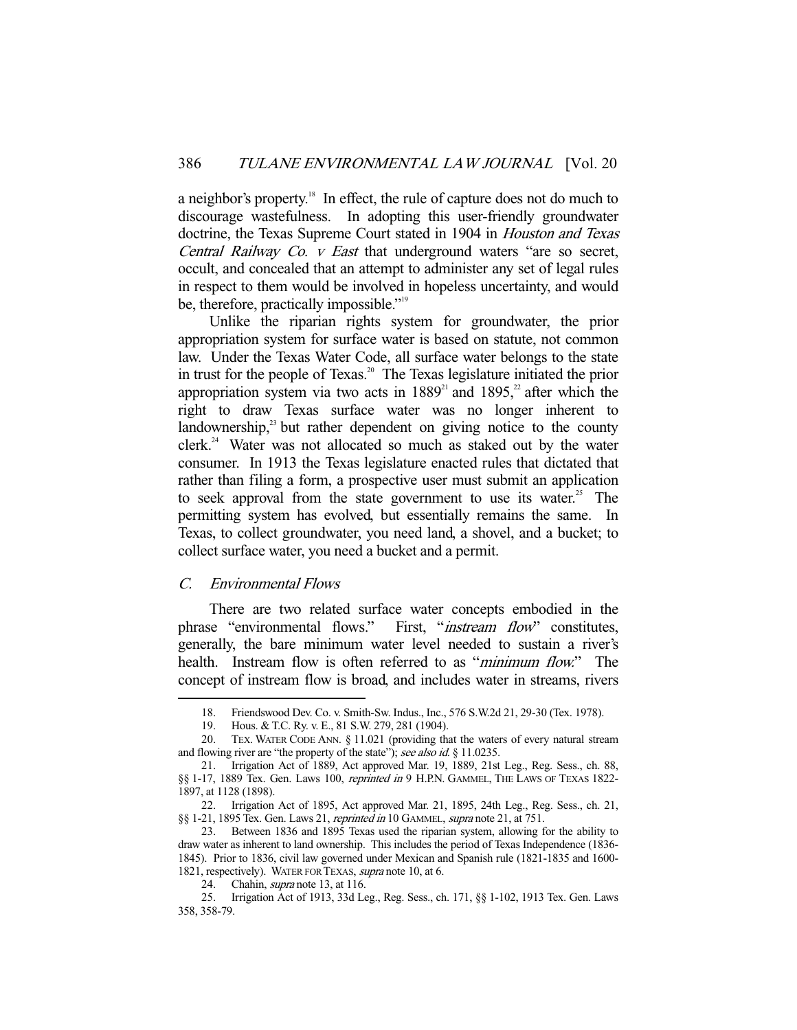a neighbor's property.<sup>18</sup> In effect, the rule of capture does not do much to discourage wastefulness. In adopting this user-friendly groundwater doctrine, the Texas Supreme Court stated in 1904 in Houston and Texas Central Railway Co. v East that underground waters "are so secret, occult, and concealed that an attempt to administer any set of legal rules in respect to them would be involved in hopeless uncertainty, and would be, therefore, practically impossible."<sup>19</sup>

 Unlike the riparian rights system for groundwater, the prior appropriation system for surface water is based on statute, not common law. Under the Texas Water Code, all surface water belongs to the state in trust for the people of Texas.<sup>20</sup> The Texas legislature initiated the prior appropriation system via two acts in  $1889<sup>21</sup>$  and  $1895<sup>22</sup>$  after which the right to draw Texas surface water was no longer inherent to landownership, $^{23}$  but rather dependent on giving notice to the county  $clerk.<sup>24</sup>$  Water was not allocated so much as staked out by the water consumer. In 1913 the Texas legislature enacted rules that dictated that rather than filing a form, a prospective user must submit an application to seek approval from the state government to use its water.<sup>25</sup> The permitting system has evolved, but essentially remains the same. In Texas, to collect groundwater, you need land, a shovel, and a bucket; to collect surface water, you need a bucket and a permit.

# C. Environmental Flows

-

There are two related surface water concepts embodied in the phrase "environmental flows." First, "*instream flow*" constitutes, generally, the bare minimum water level needed to sustain a river's health. Instream flow is often referred to as "*minimum flow*." The concept of instream flow is broad, and includes water in streams, rivers

 <sup>18.</sup> Friendswood Dev. Co. v. Smith-Sw. Indus., Inc., 576 S.W.2d 21, 29-30 (Tex. 1978).

 <sup>19.</sup> Hous. & T.C. Ry. v. E., 81 S.W. 279, 281 (1904).

 <sup>20.</sup> TEX. WATER CODE ANN. § 11.021 (providing that the waters of every natural stream and flowing river are "the property of the state"); see also id. § 11.0235.

 <sup>21.</sup> Irrigation Act of 1889, Act approved Mar. 19, 1889, 21st Leg., Reg. Sess., ch. 88, §§ 1-17, 1889 Tex. Gen. Laws 100, reprinted in 9 H.P.N. GAMMEL, THE LAWS OF TEXAS 1822-1897, at 1128 (1898).

 <sup>22.</sup> Irrigation Act of 1895, Act approved Mar. 21, 1895, 24th Leg., Reg. Sess., ch. 21, §§ 1-21, 1895 Tex. Gen. Laws 21, reprinted in 10 GAMMEL, supra note 21, at 751.

 <sup>23.</sup> Between 1836 and 1895 Texas used the riparian system, allowing for the ability to draw water as inherent to land ownership. This includes the period of Texas Independence (1836- 1845). Prior to 1836, civil law governed under Mexican and Spanish rule (1821-1835 and 1600- 1821, respectively). WATER FOR TEXAS, supra note 10, at 6.

<sup>24.</sup> Chahin, *supra* note 13, at 116.

 <sup>25.</sup> Irrigation Act of 1913, 33d Leg., Reg. Sess., ch. 171, §§ 1-102, 1913 Tex. Gen. Laws 358, 358-79.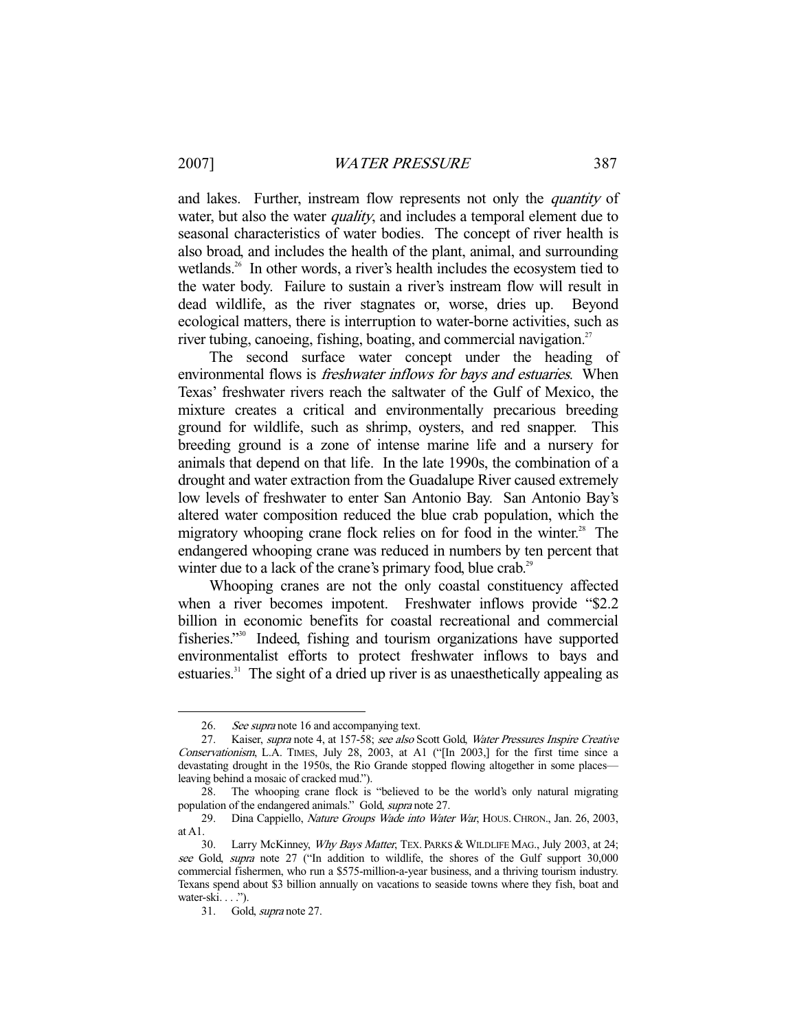and lakes. Further, instream flow represents not only the *quantity* of water, but also the water *quality*, and includes a temporal element due to seasonal characteristics of water bodies. The concept of river health is also broad, and includes the health of the plant, animal, and surrounding wetlands.<sup>26</sup> In other words, a river's health includes the ecosystem tied to the water body. Failure to sustain a river's instream flow will result in dead wildlife, as the river stagnates or, worse, dries up. Beyond ecological matters, there is interruption to water-borne activities, such as river tubing, canoeing, fishing, boating, and commercial navigation.<sup>27</sup>

 The second surface water concept under the heading of environmental flows is *freshwater inflows for bays and estuaries*. When Texas' freshwater rivers reach the saltwater of the Gulf of Mexico, the mixture creates a critical and environmentally precarious breeding ground for wildlife, such as shrimp, oysters, and red snapper. This breeding ground is a zone of intense marine life and a nursery for animals that depend on that life. In the late 1990s, the combination of a drought and water extraction from the Guadalupe River caused extremely low levels of freshwater to enter San Antonio Bay. San Antonio Bay's altered water composition reduced the blue crab population, which the migratory whooping crane flock relies on for food in the winter.<sup>28</sup> The endangered whooping crane was reduced in numbers by ten percent that winter due to a lack of the crane's primary food, blue crab.<sup>29</sup>

 Whooping cranes are not the only coastal constituency affected when a river becomes impotent. Freshwater inflows provide "\$2.2" billion in economic benefits for coastal recreational and commercial fisheries."30 Indeed, fishing and tourism organizations have supported environmentalist efforts to protect freshwater inflows to bays and estuaries.<sup>31</sup> The sight of a dried up river is as unaesthetically appealing as

<sup>26.</sup> See supra note 16 and accompanying text.

 <sup>27.</sup> Kaiser, supra note 4, at 157-58; see also Scott Gold, Water Pressures Inspire Creative Conservationism, L.A. TIMES, July 28, 2003, at A1 ("[In 2003,] for the first time since a devastating drought in the 1950s, the Rio Grande stopped flowing altogether in some places leaving behind a mosaic of cracked mud.").

 <sup>28.</sup> The whooping crane flock is "believed to be the world's only natural migrating population of the endangered animals." Gold, supra note 27.

 <sup>29.</sup> Dina Cappiello, Nature Groups Wade into Water War, HOUS.CHRON., Jan. 26, 2003, at A1.

<sup>30.</sup> Larry McKinney, Why Bays Matter, TEX. PARKS & WILDLIFE MAG., July 2003, at 24; see Gold, supra note 27 ("In addition to wildlife, the shores of the Gulf support 30,000 commercial fishermen, who run a \$575-million-a-year business, and a thriving tourism industry. Texans spend about \$3 billion annually on vacations to seaside towns where they fish, boat and water-ski. $\ldots$ ").

 <sup>31.</sup> Gold, supra note 27.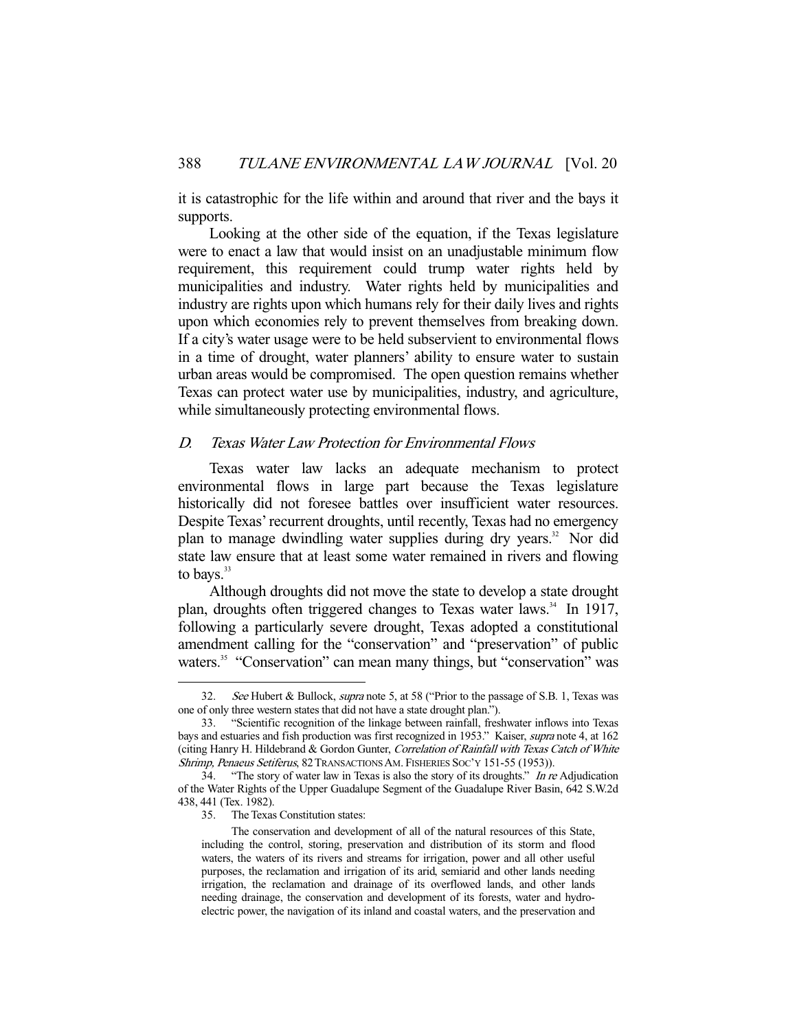it is catastrophic for the life within and around that river and the bays it supports.

 Looking at the other side of the equation, if the Texas legislature were to enact a law that would insist on an unadjustable minimum flow requirement, this requirement could trump water rights held by municipalities and industry. Water rights held by municipalities and industry are rights upon which humans rely for their daily lives and rights upon which economies rely to prevent themselves from breaking down. If a city's water usage were to be held subservient to environmental flows in a time of drought, water planners' ability to ensure water to sustain urban areas would be compromised. The open question remains whether Texas can protect water use by municipalities, industry, and agriculture, while simultaneously protecting environmental flows.

# D. Texas Water Law Protection for Environmental Flows

Texas water law lacks an adequate mechanism to protect environmental flows in large part because the Texas legislature historically did not foresee battles over insufficient water resources. Despite Texas' recurrent droughts, until recently, Texas had no emergency plan to manage dwindling water supplies during dry years.<sup>32</sup> Nor did state law ensure that at least some water remained in rivers and flowing to bays. $33$ 

 Although droughts did not move the state to develop a state drought plan, droughts often triggered changes to Texas water laws.<sup>34</sup> In 1917, following a particularly severe drought, Texas adopted a constitutional amendment calling for the "conservation" and "preservation" of public waters.<sup>35</sup> "Conservation" can mean many things, but "conservation" was

35. The Texas Constitution states:

<sup>32.</sup> See Hubert & Bullock, supra note 5, at 58 ("Prior to the passage of S.B. 1, Texas was one of only three western states that did not have a state drought plan.").

 <sup>33. &</sup>quot;Scientific recognition of the linkage between rainfall, freshwater inflows into Texas bays and estuaries and fish production was first recognized in 1953." Kaiser, supra note 4, at 162 (citing Hanry H. Hildebrand & Gordon Gunter, Correlation of Rainfall with Texas Catch of White Shrimp, Penaeus Setiferus, 82 TRANSACTIONS AM. FISHERIES SOC'Y 151-55 (1953)).

<sup>34. &</sup>quot;The story of water law in Texas is also the story of its droughts." In re Adjudication of the Water Rights of the Upper Guadalupe Segment of the Guadalupe River Basin, 642 S.W.2d 438, 441 (Tex. 1982).

The conservation and development of all of the natural resources of this State, including the control, storing, preservation and distribution of its storm and flood waters, the waters of its rivers and streams for irrigation, power and all other useful purposes, the reclamation and irrigation of its arid, semiarid and other lands needing irrigation, the reclamation and drainage of its overflowed lands, and other lands needing drainage, the conservation and development of its forests, water and hydroelectric power, the navigation of its inland and coastal waters, and the preservation and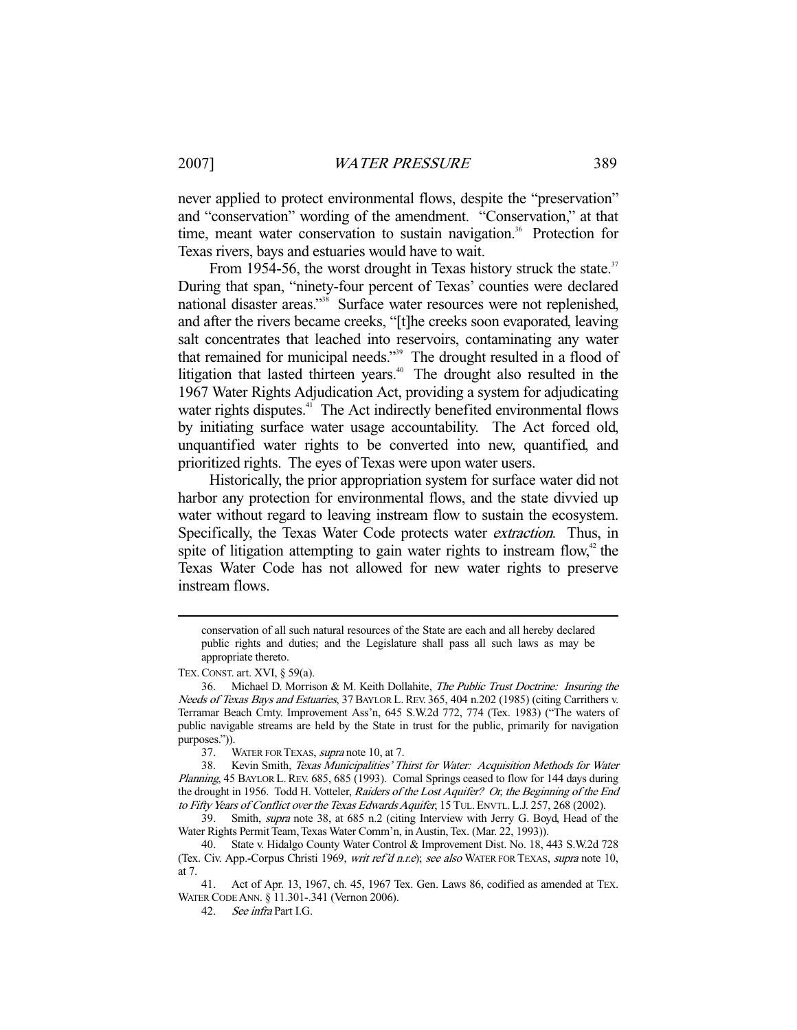never applied to protect environmental flows, despite the "preservation" and "conservation" wording of the amendment. "Conservation," at that time, meant water conservation to sustain navigation.<sup>36</sup> Protection for Texas rivers, bays and estuaries would have to wait.

From 1954-56, the worst drought in Texas history struck the state.<sup>37</sup> During that span, "ninety-four percent of Texas' counties were declared national disaster areas."<sup>38</sup> Surface water resources were not replenished, and after the rivers became creeks, "[t]he creeks soon evaporated, leaving salt concentrates that leached into reservoirs, contaminating any water that remained for municipal needs."39 The drought resulted in a flood of litigation that lasted thirteen years.<sup>40</sup> The drought also resulted in the 1967 Water Rights Adjudication Act, providing a system for adjudicating water rights disputes.<sup>41</sup> The Act indirectly benefited environmental flows by initiating surface water usage accountability. The Act forced old, unquantified water rights to be converted into new, quantified, and prioritized rights. The eyes of Texas were upon water users.

 Historically, the prior appropriation system for surface water did not harbor any protection for environmental flows, and the state divvied up water without regard to leaving instream flow to sustain the ecosystem. Specifically, the Texas Water Code protects water extraction. Thus, in spite of litigation attempting to gain water rights to instream flow, $42$  the Texas Water Code has not allowed for new water rights to preserve instream flows.

conservation of all such natural resources of the State are each and all hereby declared public rights and duties; and the Legislature shall pass all such laws as may be appropriate thereto.

TEX.CONST. art. XVI, § 59(a).

 <sup>36.</sup> Michael D. Morrison & M. Keith Dollahite, The Public Trust Doctrine: Insuring the Needs of Texas Bays and Estuaries, 37 BAYLOR L. REV. 365, 404 n.202 (1985) (citing Carrithers v. Terramar Beach Cmty. Improvement Ass'n, 645 S.W.2d 772, 774 (Tex. 1983) ("The waters of public navigable streams are held by the State in trust for the public, primarily for navigation purposes.")).

<sup>37.</sup> WATER FOR TEXAS, *supra* note 10, at 7.

 <sup>38.</sup> Kevin Smith, Texas Municipalities' Thirst for Water: Acquisition Methods for Water Planning, 45 BAYLOR L. REV. 685, 685 (1993). Comal Springs ceased to flow for 144 days during the drought in 1956. Todd H. Votteler, Raiders of the Lost Aquifer? Or, the Beginning of the End to Fifty Years of Conflict over the Texas Edwards Aquifer, 15 TUL. ENVTL. L.J. 257, 268 (2002).

<sup>39.</sup> Smith, *supra* note 38, at 685 n.2 (citing Interview with Jerry G. Boyd, Head of the Water Rights Permit Team, Texas Water Comm'n, in Austin, Tex. (Mar. 22, 1993)).

 <sup>40.</sup> State v. Hidalgo County Water Control & Improvement Dist. No. 18, 443 S.W.2d 728 (Tex. Civ. App.-Corpus Christi 1969, writ ref'd n.r.e); see also WATER FOR TEXAS, supra note 10, at 7.

 <sup>41.</sup> Act of Apr. 13, 1967, ch. 45, 1967 Tex. Gen. Laws 86, codified as amended at TEX. WATER CODE ANN. § 11.301-.341 (Vernon 2006).

 <sup>42.</sup> See infra Part I.G.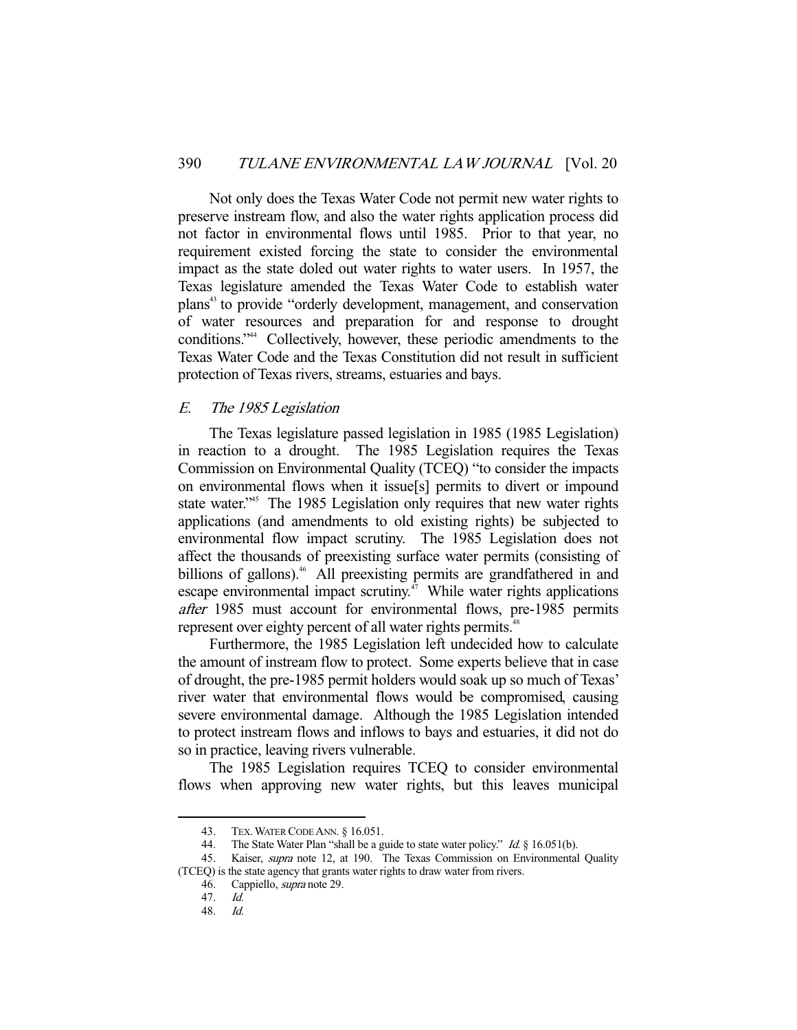Not only does the Texas Water Code not permit new water rights to preserve instream flow, and also the water rights application process did not factor in environmental flows until 1985. Prior to that year, no requirement existed forcing the state to consider the environmental impact as the state doled out water rights to water users. In 1957, the Texas legislature amended the Texas Water Code to establish water plans43 to provide "orderly development, management, and conservation of water resources and preparation for and response to drought conditions."44 Collectively, however, these periodic amendments to the Texas Water Code and the Texas Constitution did not result in sufficient protection of Texas rivers, streams, estuaries and bays.

# E. The 1985 Legislation

The Texas legislature passed legislation in 1985 (1985 Legislation) in reaction to a drought. The 1985 Legislation requires the Texas Commission on Environmental Quality (TCEQ) "to consider the impacts on environmental flows when it issue[s] permits to divert or impound state water.<sup>345</sup> The 1985 Legislation only requires that new water rights applications (and amendments to old existing rights) be subjected to environmental flow impact scrutiny. The 1985 Legislation does not affect the thousands of preexisting surface water permits (consisting of billions of gallons).<sup>46</sup> All preexisting permits are grandfathered in and escape environmental impact scrutiny. $\frac{4}{3}$  While water rights applications after 1985 must account for environmental flows, pre-1985 permits represent over eighty percent of all water rights permits.<sup>48</sup>

 Furthermore, the 1985 Legislation left undecided how to calculate the amount of instream flow to protect. Some experts believe that in case of drought, the pre-1985 permit holders would soak up so much of Texas' river water that environmental flows would be compromised, causing severe environmental damage. Although the 1985 Legislation intended to protect instream flows and inflows to bays and estuaries, it did not do so in practice, leaving rivers vulnerable.

 The 1985 Legislation requires TCEQ to consider environmental flows when approving new water rights, but this leaves municipal

 <sup>43.</sup> TEX.WATER CODE ANN. § 16.051.

<sup>44.</sup> The State Water Plan "shall be a guide to state water policy." Id. § 16.051(b).

<sup>45.</sup> Kaiser, *supra* note 12, at 190. The Texas Commission on Environmental Quality (TCEQ) is the state agency that grants water rights to draw water from rivers.

 <sup>46.</sup> Cappiello, supra note 29.

<sup>47.</sup> *Id.*<br>48. *Id.* 

 <sup>48.</sup> Id.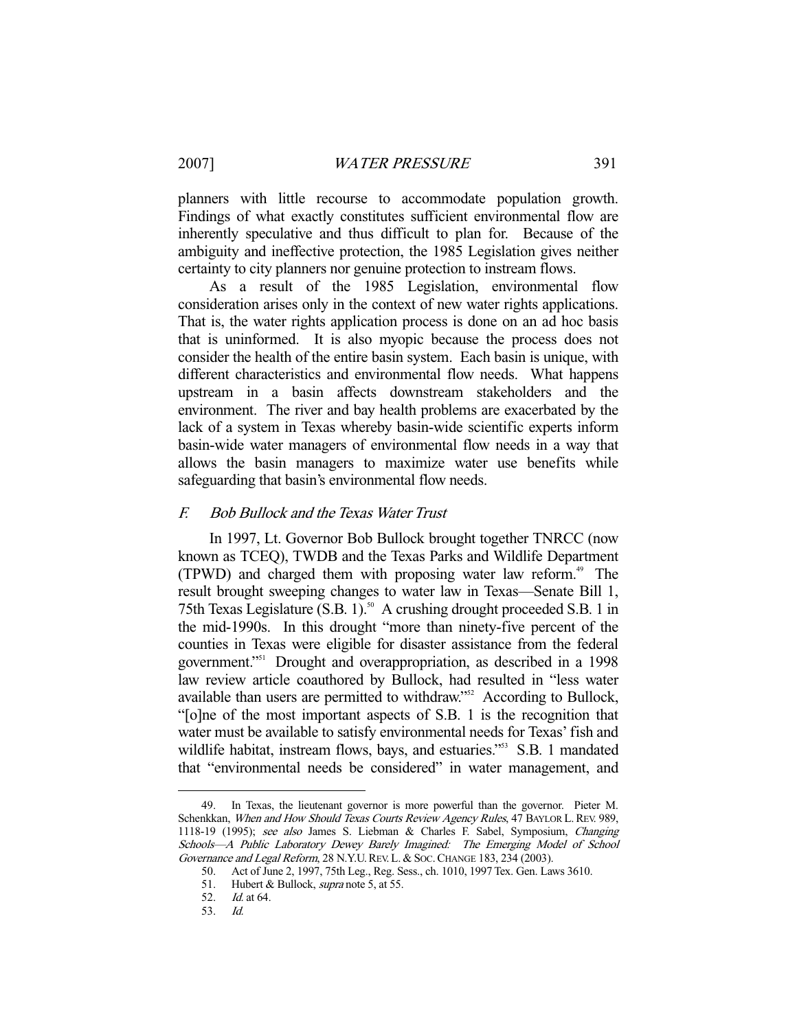planners with little recourse to accommodate population growth. Findings of what exactly constitutes sufficient environmental flow are inherently speculative and thus difficult to plan for. Because of the ambiguity and ineffective protection, the 1985 Legislation gives neither certainty to city planners nor genuine protection to instream flows.

 As a result of the 1985 Legislation, environmental flow consideration arises only in the context of new water rights applications. That is, the water rights application process is done on an ad hoc basis that is uninformed. It is also myopic because the process does not consider the health of the entire basin system. Each basin is unique, with different characteristics and environmental flow needs. What happens upstream in a basin affects downstream stakeholders and the environment. The river and bay health problems are exacerbated by the lack of a system in Texas whereby basin-wide scientific experts inform basin-wide water managers of environmental flow needs in a way that allows the basin managers to maximize water use benefits while safeguarding that basin's environmental flow needs.

## F. Bob Bullock and the Texas Water Trust

In 1997, Lt. Governor Bob Bullock brought together TNRCC (now known as TCEQ), TWDB and the Texas Parks and Wildlife Department (TPWD) and charged them with proposing water law reform.<sup>49</sup> The result brought sweeping changes to water law in Texas—Senate Bill 1, 75th Texas Legislature  $(S.B. 1)$ .<sup>50</sup> A crushing drought proceeded S.B. 1 in the mid-1990s. In this drought "more than ninety-five percent of the counties in Texas were eligible for disaster assistance from the federal government."51 Drought and overappropriation, as described in a 1998 law review article coauthored by Bullock, had resulted in "less water available than users are permitted to withdraw."52 According to Bullock, "[o]ne of the most important aspects of S.B. 1 is the recognition that water must be available to satisfy environmental needs for Texas' fish and wildlife habitat, instream flows, bays, and estuaries."<sup>553</sup> S.B. 1 mandated that "environmental needs be considered" in water management, and

 <sup>49.</sup> In Texas, the lieutenant governor is more powerful than the governor. Pieter M. Schenkkan, When and How Should Texas Courts Review Agency Rules, 47 BAYLOR L. REV. 989, 1118-19 (1995); see also James S. Liebman & Charles F. Sabel, Symposium, Changing Schools—A Public Laboratory Dewey Barely Imagined: The Emerging Model of School Governance and Legal Reform, 28 N.Y.U. REV. L. & Soc. CHANGE 183, 234 (2003).

 <sup>50.</sup> Act of June 2, 1997, 75th Leg., Reg. Sess., ch. 1010, 1997 Tex. Gen. Laws 3610.

<sup>51.</sup> Hubert & Bullock, *supra* note 5, at 55.

<sup>52.</sup> *Id.* at 64.<br>53. *Id.* 

<sup>53.</sup>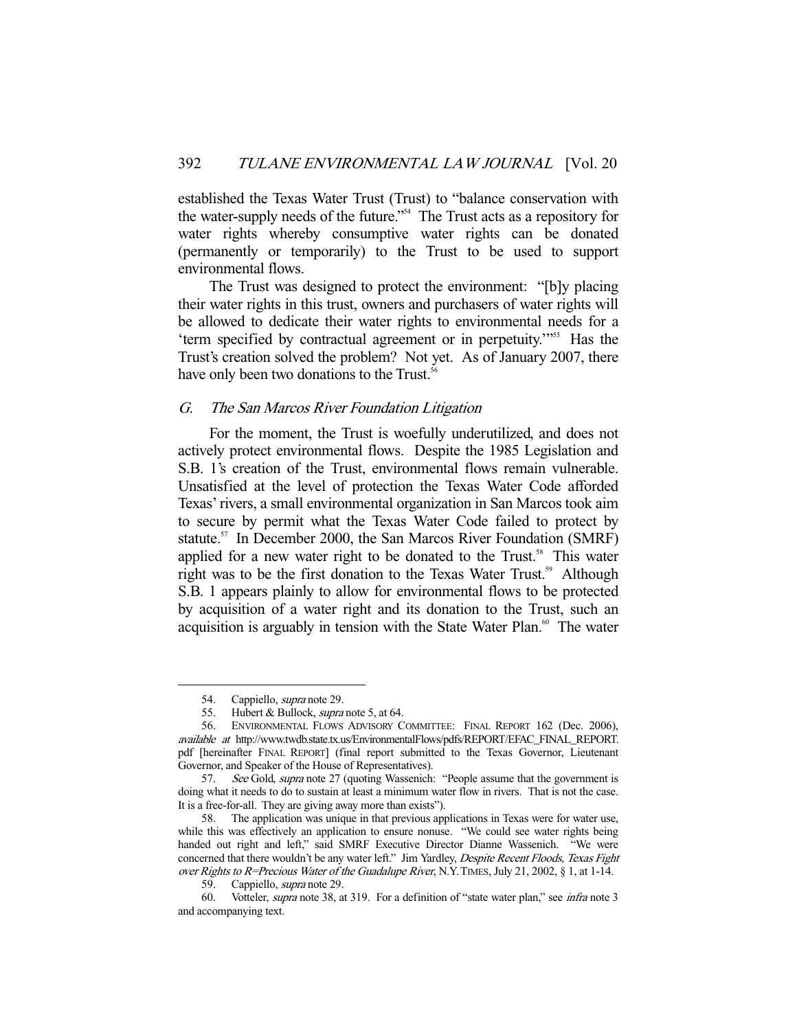established the Texas Water Trust (Trust) to "balance conservation with the water-supply needs of the future."54 The Trust acts as a repository for water rights whereby consumptive water rights can be donated (permanently or temporarily) to the Trust to be used to support environmental flows.

 The Trust was designed to protect the environment: "[b]y placing their water rights in this trust, owners and purchasers of water rights will be allowed to dedicate their water rights to environmental needs for a 'term specified by contractual agreement or in perpetuity.'"55 Has the Trust's creation solved the problem? Not yet. As of January 2007, there have only been two donations to the Trust.<sup>56</sup>

#### G. The San Marcos River Foundation Litigation

 For the moment, the Trust is woefully underutilized, and does not actively protect environmental flows. Despite the 1985 Legislation and S.B. 1's creation of the Trust, environmental flows remain vulnerable. Unsatisfied at the level of protection the Texas Water Code afforded Texas' rivers, a small environmental organization in San Marcos took aim to secure by permit what the Texas Water Code failed to protect by statute.<sup>57</sup> In December 2000, the San Marcos River Foundation (SMRF) applied for a new water right to be donated to the Trust.<sup>58</sup> This water right was to be the first donation to the Texas Water Trust.<sup>59</sup> Although S.B. 1 appears plainly to allow for environmental flows to be protected by acquisition of a water right and its donation to the Trust, such an acquisition is arguably in tension with the State Water Plan.<sup>60</sup> The water

<sup>54.</sup> Cappiello, *supra* note 29.<br>55. Hubert & Bullock, *supra* 

Hubert & Bullock, *supra* note 5, at 64.

 <sup>56.</sup> ENVIRONMENTAL FLOWS ADVISORY COMMITTEE: FINAL REPORT 162 (Dec. 2006), available at http://www.twdb.state.tx.us/EnvironmentalFlows/pdfs/REPORT/EFAC\_FINAL\_REPORT. pdf [hereinafter FINAL REPORT] (final report submitted to the Texas Governor, Lieutenant Governor, and Speaker of the House of Representatives).

<sup>57.</sup> See Gold, supra note 27 (quoting Wassenich: "People assume that the government is doing what it needs to do to sustain at least a minimum water flow in rivers. That is not the case. It is a free-for-all. They are giving away more than exists").

 <sup>58.</sup> The application was unique in that previous applications in Texas were for water use, while this was effectively an application to ensure nonuse. "We could see water rights being handed out right and left," said SMRF Executive Director Dianne Wassenich. "We were concerned that there wouldn't be any water left." Jim Yardley, Despite Recent Floods, Texas Fight over Rights to R=Precious Water of the Guadalupe River, N.Y. TIMES, July 21, 2002, § 1, at 1-14.

 <sup>59.</sup> Cappiello, supra note 29.

 <sup>60.</sup> Votteler, supra note 38, at 319. For a definition of "state water plan," see infra note 3 and accompanying text.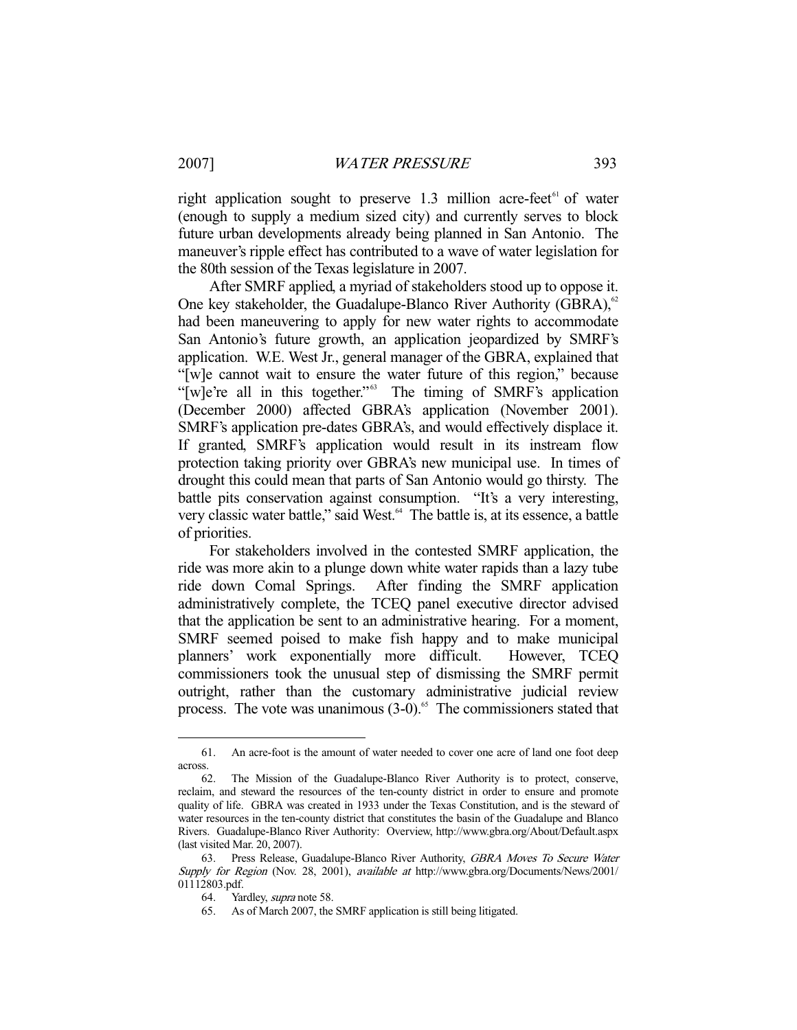right application sought to preserve  $1.3$  million acre-feet<sup>61</sup> of water (enough to supply a medium sized city) and currently serves to block future urban developments already being planned in San Antonio. The maneuver's ripple effect has contributed to a wave of water legislation for the 80th session of the Texas legislature in 2007.

 After SMRF applied, a myriad of stakeholders stood up to oppose it. One key stakeholder, the Guadalupe-Blanco River Authority (GBRA), $62$ had been maneuvering to apply for new water rights to accommodate San Antonio's future growth, an application jeopardized by SMRF's application. W.E. West Jr., general manager of the GBRA, explained that "[w]e cannot wait to ensure the water future of this region," because "[w]e're all in this together."<sup>63</sup> The timing of SMRF's application (December 2000) affected GBRA's application (November 2001). SMRF's application pre-dates GBRA's, and would effectively displace it. If granted, SMRF's application would result in its instream flow protection taking priority over GBRA's new municipal use. In times of drought this could mean that parts of San Antonio would go thirsty. The battle pits conservation against consumption. "It's a very interesting, very classic water battle," said West.<sup>64</sup> The battle is, at its essence, a battle of priorities.

 For stakeholders involved in the contested SMRF application, the ride was more akin to a plunge down white water rapids than a lazy tube ride down Comal Springs. After finding the SMRF application administratively complete, the TCEQ panel executive director advised that the application be sent to an administrative hearing. For a moment, SMRF seemed poised to make fish happy and to make municipal planners' work exponentially more difficult. However, TCEQ commissioners took the unusual step of dismissing the SMRF permit outright, rather than the customary administrative judicial review process. The vote was unanimous  $(3-0)$ .<sup>65</sup> The commissioners stated that

 <sup>61.</sup> An acre-foot is the amount of water needed to cover one acre of land one foot deep across.

 <sup>62.</sup> The Mission of the Guadalupe-Blanco River Authority is to protect, conserve, reclaim, and steward the resources of the ten-county district in order to ensure and promote quality of life. GBRA was created in 1933 under the Texas Constitution, and is the steward of water resources in the ten-county district that constitutes the basin of the Guadalupe and Blanco Rivers. Guadalupe-Blanco River Authority: Overview, http://www.gbra.org/About/Default.aspx (last visited Mar. 20, 2007).

 <sup>63.</sup> Press Release, Guadalupe-Blanco River Authority, GBRA Moves To Secure Water Supply for Region (Nov. 28, 2001), available at http://www.gbra.org/Documents/News/2001/ 01112803.pdf.

 <sup>64.</sup> Yardley, supra note 58.

 <sup>65.</sup> As of March 2007, the SMRF application is still being litigated.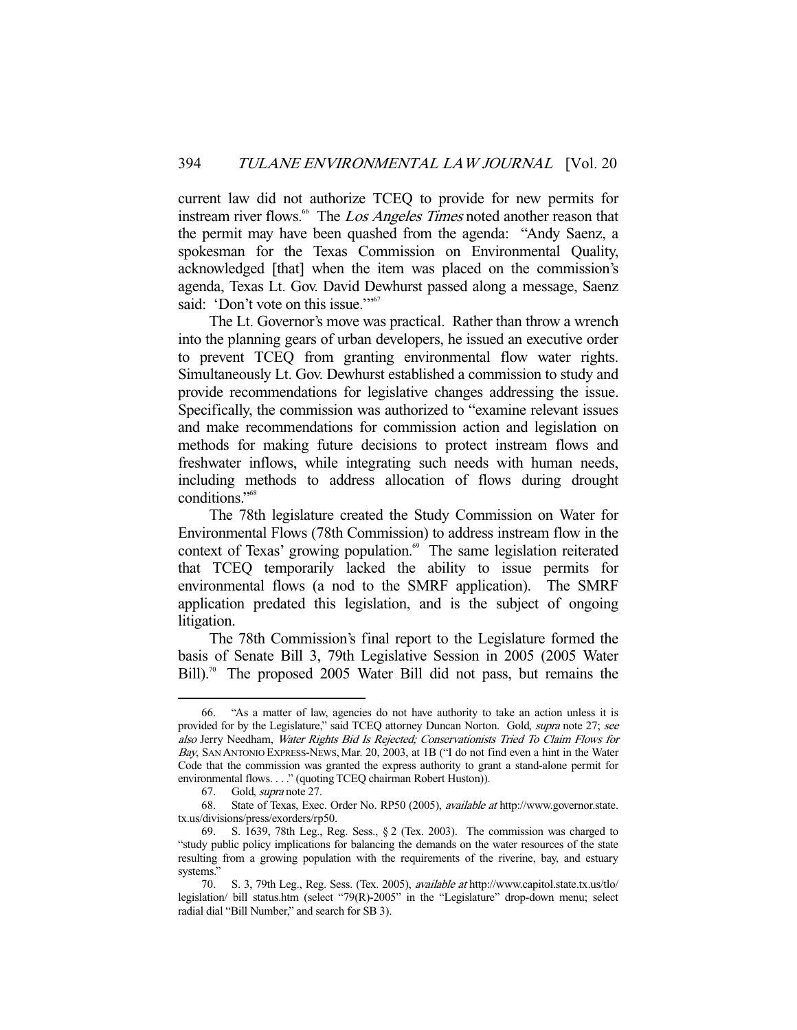current law did not authorize TCEQ to provide for new permits for instream river flows.<sup>66</sup> The *Los Angeles Times* noted another reason that the permit may have been quashed from the agenda: "Andy Saenz, a spokesman for the Texas Commission on Environmental Quality, acknowledged [that] when the item was placed on the commission's agenda, Texas Lt. Gov. David Dewhurst passed along a message, Saenz said: 'Don't vote on this issue.'"<sup>67</sup>

 The Lt. Governor's move was practical. Rather than throw a wrench into the planning gears of urban developers, he issued an executive order to prevent TCEQ from granting environmental flow water rights. Simultaneously Lt. Gov. Dewhurst established a commission to study and provide recommendations for legislative changes addressing the issue. Specifically, the commission was authorized to "examine relevant issues and make recommendations for commission action and legislation on methods for making future decisions to protect instream flows and freshwater inflows, while integrating such needs with human needs, including methods to address allocation of flows during drought conditions."68

 The 78th legislature created the Study Commission on Water for Environmental Flows (78th Commission) to address instream flow in the context of Texas' growing population.<sup>69</sup> The same legislation reiterated that TCEQ temporarily lacked the ability to issue permits for environmental flows (a nod to the SMRF application). The SMRF application predated this legislation, and is the subject of ongoing litigation.

 The 78th Commission's final report to the Legislature formed the basis of Senate Bill 3, 79th Legislative Session in 2005 (2005 Water  $Bill$ ).<sup>70</sup> The proposed 2005 Water Bill did not pass, but remains the

 <sup>66. &</sup>quot;As a matter of law, agencies do not have authority to take an action unless it is provided for by the Legislature," said TCEQ attorney Duncan Norton. Gold, supra note 27; see also Jerry Needham, Water Rights Bid Is Rejected; Conservationists Tried To Claim Flows for Bay, SAN ANTONIO EXPRESS-NEWS, Mar. 20, 2003, at 1B ("I do not find even a hint in the Water Code that the commission was granted the express authority to grant a stand-alone permit for environmental flows. . . ." (quoting TCEQ chairman Robert Huston)).

 <sup>67.</sup> Gold, supra note 27.

 <sup>68.</sup> State of Texas, Exec. Order No. RP50 (2005), available at http://www.governor.state. tx.us/divisions/press/exorders/rp50.

 <sup>69.</sup> S. 1639, 78th Leg., Reg. Sess., § 2 (Tex. 2003). The commission was charged to "study public policy implications for balancing the demands on the water resources of the state resulting from a growing population with the requirements of the riverine, bay, and estuary systems."

<sup>70.</sup> S. 3, 79th Leg., Reg. Sess. (Tex. 2005), available at http://www.capitol.state.tx.us/tlo/ legislation/ bill status.htm (select "79(R)-2005" in the "Legislature" drop-down menu; select radial dial "Bill Number," and search for SB 3).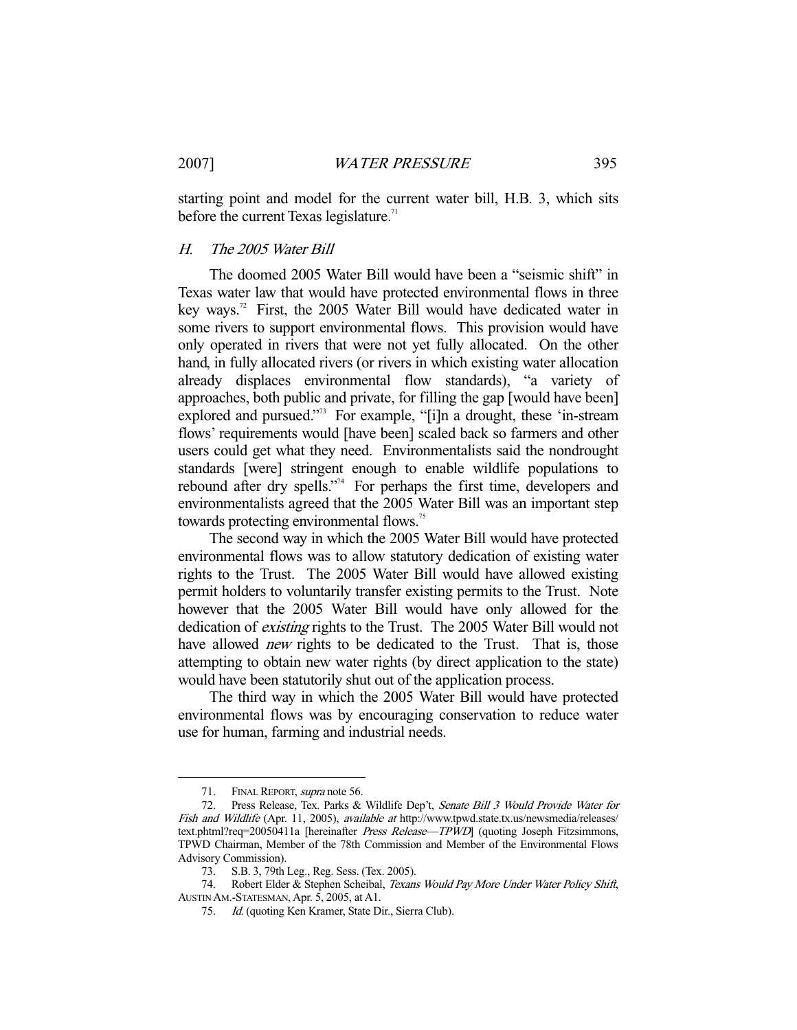starting point and model for the current water bill, H.B. 3, which sits before the current Texas legislature.<sup>71</sup>

# H. The 2005 Water Bill

 The doomed 2005 Water Bill would have been a "seismic shift" in Texas water law that would have protected environmental flows in three key ways.<sup>72</sup> First, the 2005 Water Bill would have dedicated water in some rivers to support environmental flows. This provision would have only operated in rivers that were not yet fully allocated. On the other hand, in fully allocated rivers (or rivers in which existing water allocation already displaces environmental flow standards), "a variety of approaches, both public and private, for filling the gap [would have been] explored and pursued."<sup>73</sup> For example, "[i]n a drought, these 'in-stream flows' requirements would [have been] scaled back so farmers and other users could get what they need. Environmentalists said the nondrought standards [were] stringent enough to enable wildlife populations to rebound after dry spells."<sup>74</sup> For perhaps the first time, developers and environmentalists agreed that the 2005 Water Bill was an important step towards protecting environmental flows.<sup>75</sup>

 The second way in which the 2005 Water Bill would have protected environmental flows was to allow statutory dedication of existing water rights to the Trust. The 2005 Water Bill would have allowed existing permit holders to voluntarily transfer existing permits to the Trust. Note however that the 2005 Water Bill would have only allowed for the dedication of existing rights to the Trust. The 2005 Water Bill would not have allowed *new* rights to be dedicated to the Trust. That is, those attempting to obtain new water rights (by direct application to the state) would have been statutorily shut out of the application process.

 The third way in which the 2005 Water Bill would have protected environmental flows was by encouraging conservation to reduce water use for human, farming and industrial needs.

<sup>71.</sup> FINAL REPORT, supra note 56.

 <sup>72.</sup> Press Release, Tex. Parks & Wildlife Dep't, Senate Bill 3 Would Provide Water for Fish and Wildlife (Apr. 11, 2005), available at http://www.tpwd.state.tx.us/newsmedia/releases/ text.phtml?req=20050411a [hereinafter Press Release-TPWD] (quoting Joseph Fitzsimmons, TPWD Chairman, Member of the 78th Commission and Member of the Environmental Flows Advisory Commission).

 <sup>73.</sup> S.B. 3, 79th Leg., Reg. Sess. (Tex. 2005).

 <sup>74.</sup> Robert Elder & Stephen Scheibal, Texans Would Pay More Under Water Policy Shift, AUSTIN AM.-STATESMAN, Apr. 5, 2005, at A1.

 <sup>75.</sup> Id. (quoting Ken Kramer, State Dir., Sierra Club).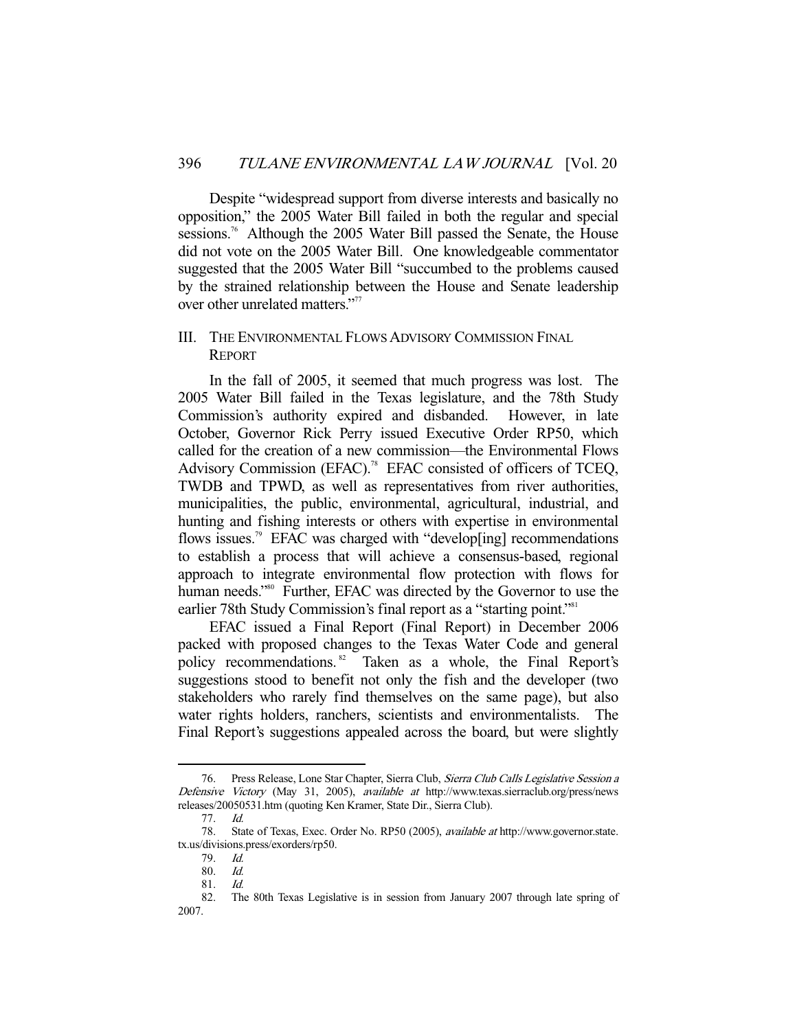Despite "widespread support from diverse interests and basically no opposition," the 2005 Water Bill failed in both the regular and special sessions.<sup>76</sup> Although the 2005 Water Bill passed the Senate, the House did not vote on the 2005 Water Bill. One knowledgeable commentator suggested that the 2005 Water Bill "succumbed to the problems caused by the strained relationship between the House and Senate leadership over other unrelated matters."<sup>77</sup>

# III. THE ENVIRONMENTAL FLOWS ADVISORY COMMISSION FINAL REPORT

In the fall of 2005, it seemed that much progress was lost. The 2005 Water Bill failed in the Texas legislature, and the 78th Study Commission's authority expired and disbanded. However, in late October, Governor Rick Perry issued Executive Order RP50, which called for the creation of a new commission—the Environmental Flows Advisory Commission (EFAC).<sup>78</sup> EFAC consisted of officers of TCEQ, TWDB and TPWD, as well as representatives from river authorities, municipalities, the public, environmental, agricultural, industrial, and hunting and fishing interests or others with expertise in environmental flows issues.<sup>79</sup> EFAC was charged with "develop[ing] recommendations to establish a process that will achieve a consensus-based, regional approach to integrate environmental flow protection with flows for human needs."<sup>80</sup> Further, EFAC was directed by the Governor to use the earlier 78th Study Commission's final report as a "starting point."<sup>81</sup>

EFAC issued a Final Report (Final Report) in December 2006 packed with proposed changes to the Texas Water Code and general policy recommendations.<sup>82</sup> Taken as a whole, the Final Report's suggestions stood to benefit not only the fish and the developer (two stakeholders who rarely find themselves on the same page), but also water rights holders, ranchers, scientists and environmentalists. The Final Report's suggestions appealed across the board, but were slightly

<sup>76.</sup> Press Release, Lone Star Chapter, Sierra Club, Sierra Club Calls Legislative Session a Defensive Victory (May 31, 2005), available at http://www.texas.sierraclub.org/press/news releases/20050531.htm (quoting Ken Kramer, State Dir., Sierra Club).

 <sup>77.</sup> Id.

 <sup>78.</sup> State of Texas, Exec. Order No. RP50 (2005), available at http://www.governor.state. tx.us/divisions.press/exorders/rp50.

 <sup>79.</sup> Id.

 <sup>80.</sup> Id.

 <sup>81.</sup> Id.

 <sup>82.</sup> The 80th Texas Legislative is in session from January 2007 through late spring of 2007.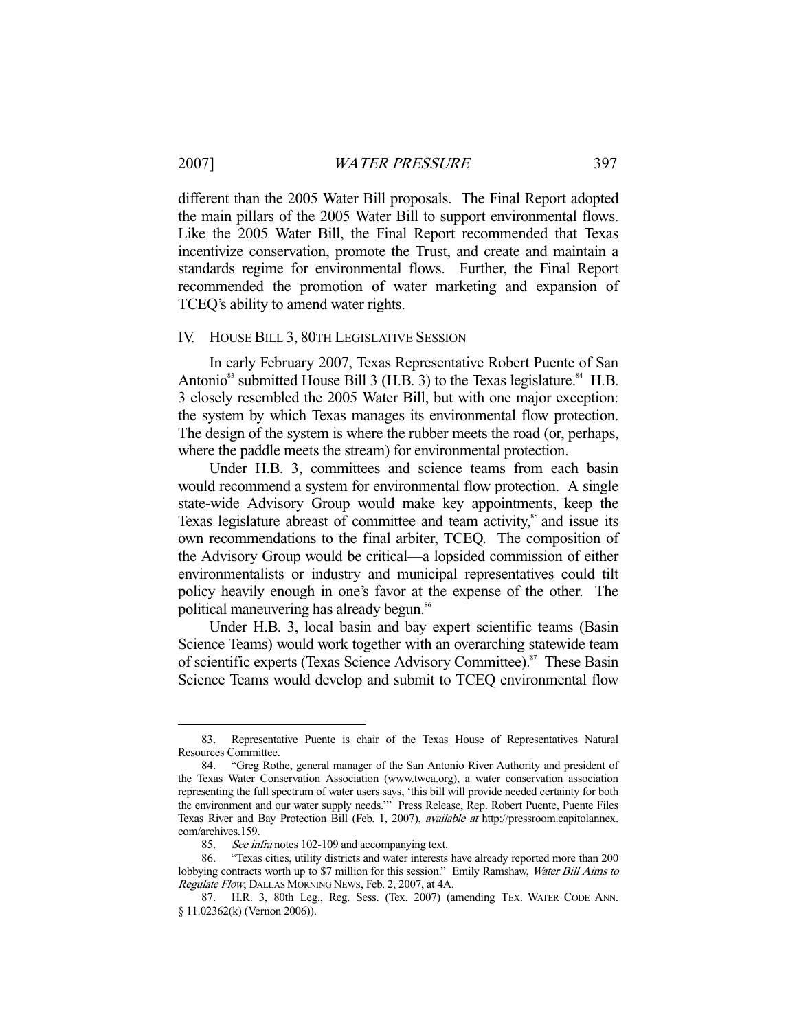-

different than the 2005 Water Bill proposals. The Final Report adopted the main pillars of the 2005 Water Bill to support environmental flows. Like the 2005 Water Bill, the Final Report recommended that Texas incentivize conservation, promote the Trust, and create and maintain a standards regime for environmental flows. Further, the Final Report recommended the promotion of water marketing and expansion of TCEQ's ability to amend water rights.

#### IV. HOUSE BILL 3, 80TH LEGISLATIVE SESSION

In early February 2007, Texas Representative Robert Puente of San Antonio $^{83}$  submitted House Bill 3 (H.B. 3) to the Texas legislature. $^{84}$  H.B. 3 closely resembled the 2005 Water Bill, but with one major exception: the system by which Texas manages its environmental flow protection. The design of the system is where the rubber meets the road (or, perhaps, where the paddle meets the stream) for environmental protection.

 Under H.B. 3, committees and science teams from each basin would recommend a system for environmental flow protection. A single state-wide Advisory Group would make key appointments, keep the Texas legislature abreast of committee and team activity, $\delta$ <sup>5</sup> and issue its own recommendations to the final arbiter, TCEQ. The composition of the Advisory Group would be critical—a lopsided commission of either environmentalists or industry and municipal representatives could tilt policy heavily enough in one's favor at the expense of the other. The political maneuvering has already begun.<sup>86</sup>

 Under H.B. 3, local basin and bay expert scientific teams (Basin Science Teams) would work together with an overarching statewide team of scientific experts (Texas Science Advisory Committee).<sup>87</sup> These Basin Science Teams would develop and submit to TCEQ environmental flow

 <sup>83.</sup> Representative Puente is chair of the Texas House of Representatives Natural Resources Committee.

 <sup>84. &</sup>quot;Greg Rothe, general manager of the San Antonio River Authority and president of the Texas Water Conservation Association (www.twca.org), a water conservation association representing the full spectrum of water users says, 'this bill will provide needed certainty for both the environment and our water supply needs.'" Press Release, Rep. Robert Puente, Puente Files Texas River and Bay Protection Bill (Feb. 1, 2007), available at http://pressroom.capitolannex. com/archives.159.

 <sup>85.</sup> See infra notes 102-109 and accompanying text.

 <sup>86. &</sup>quot;Texas cities, utility districts and water interests have already reported more than 200 lobbying contracts worth up to \$7 million for this session." Emily Ramshaw, Water Bill Aims to Regulate Flow, DALLAS MORNING NEWS, Feb. 2, 2007, at 4A.

 <sup>87.</sup> H.R. 3, 80th Leg., Reg. Sess. (Tex. 2007) (amending TEX. WATER CODE ANN. § 11.02362(k) (Vernon 2006)).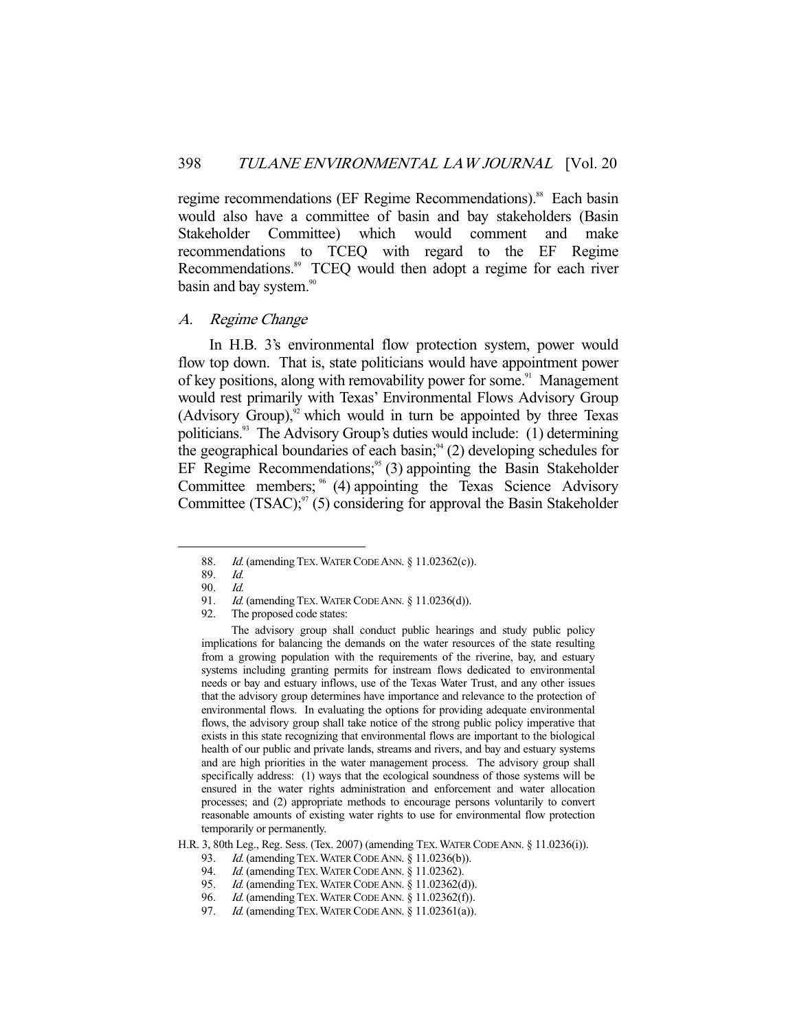regime recommendations (EF Regime Recommendations).<sup>88</sup> Each basin would also have a committee of basin and bay stakeholders (Basin Stakeholder Committee) which would comment and make recommendations to TCEQ with regard to the EF Regime Recommendations.<sup>89</sup> TCEQ would then adopt a regime for each river basin and bay system.<sup>90</sup>

#### A. Regime Change

In H.B. 3's environmental flow protection system, power would flow top down. That is, state politicians would have appointment power of key positions, along with removability power for some.<sup>91</sup> Management would rest primarily with Texas' Environmental Flows Advisory Group (Advisory Group), $\frac{92}{3}$  which would in turn be appointed by three Texas politicians.<sup>93</sup> The Advisory Group's duties would include:  $(1)$  determining the geographical boundaries of each basin;<sup>94</sup> (2) developing schedules for EF Regime Recommendations;<sup>95</sup> (3) appointing the Basin Stakeholder Committee members;  $\frac{8}{3}$  (4) appointing the Texas Science Advisory Committee  $(TSAC)$ ;<sup>97</sup> (5) considering for approval the Basin Stakeholder

-

 The advisory group shall conduct public hearings and study public policy implications for balancing the demands on the water resources of the state resulting from a growing population with the requirements of the riverine, bay, and estuary systems including granting permits for instream flows dedicated to environmental needs or bay and estuary inflows, use of the Texas Water Trust, and any other issues that the advisory group determines have importance and relevance to the protection of environmental flows. In evaluating the options for providing adequate environmental flows, the advisory group shall take notice of the strong public policy imperative that exists in this state recognizing that environmental flows are important to the biological health of our public and private lands, streams and rivers, and bay and estuary systems and are high priorities in the water management process. The advisory group shall specifically address: (1) ways that the ecological soundness of those systems will be ensured in the water rights administration and enforcement and water allocation processes; and (2) appropriate methods to encourage persons voluntarily to convert reasonable amounts of existing water rights to use for environmental flow protection temporarily or permanently.

- 93. Id. (amending TEX. WATER CODE ANN. § 11.0236(b)).<br>94. Id. (amending TEX. WATER CODE ANN. § 11.02362).
- Id. (amending TEX. WATER CODE ANN. § 11.02362).
- 95. *Id.* (amending TEX. WATER CODE ANN. § 11.02362(d)).

97. *Id.* (amending TEX. WATER CODE ANN. § 11.02361(a)).

<sup>88.</sup> *Id.* (amending TEX. WATER CODE ANN. § 11.02362(c)).

 <sup>89.</sup> Id.

<sup>90.</sup> Id.<br>91. Id.

*Id.* (amending TEX. WATER CODE ANN.  $\S$  11.0236(d)).

 <sup>92.</sup> The proposed code states:

H.R. 3, 80th Leg., Reg. Sess. (Tex. 2007) (amending TEX.WATER CODE ANN. § 11.0236(i)).

<sup>96.</sup> Id. (amending TEX. WATER CODE ANN. § 11.02362(f)).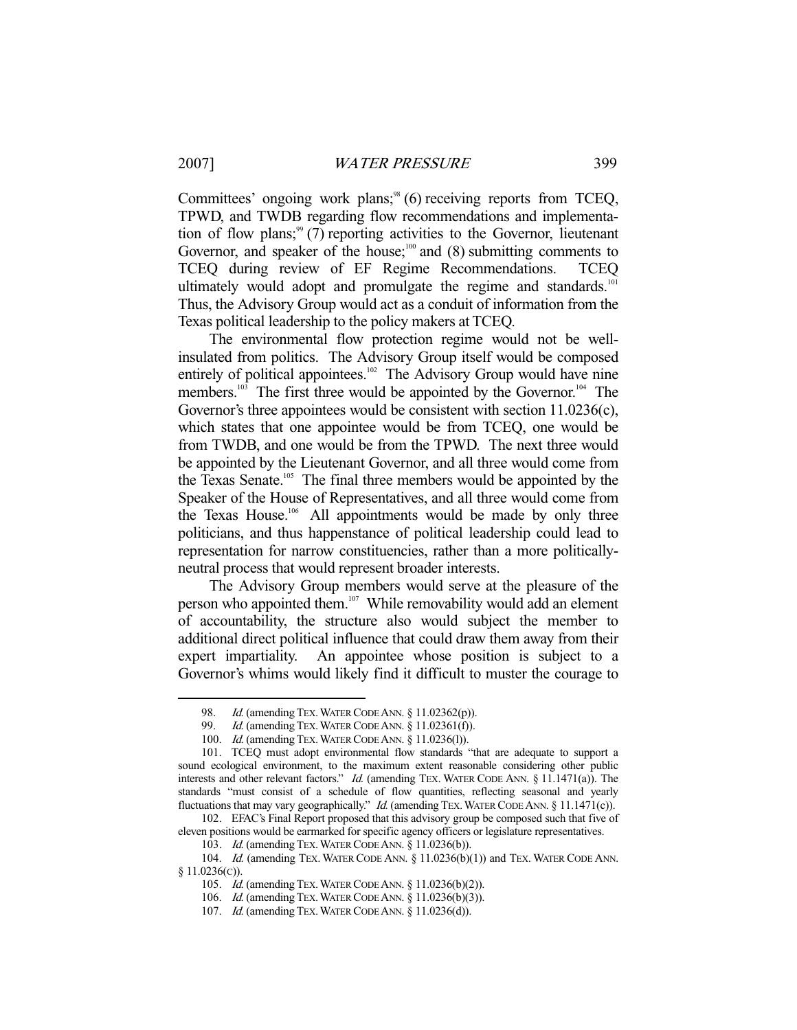-

Committees' ongoing work plans;<sup>98</sup> (6) receiving reports from TCEQ, TPWD, and TWDB regarding flow recommendations and implementation of flow plans;<sup>99</sup> (7) reporting activities to the Governor, lieutenant Governor, and speaker of the house;<sup>100</sup> and (8) submitting comments to TCEQ during review of EF Regime Recommendations. TCEQ ultimately would adopt and promulgate the regime and standards.<sup>101</sup> Thus, the Advisory Group would act as a conduit of information from the Texas political leadership to the policy makers at TCEQ.

 The environmental flow protection regime would not be wellinsulated from politics. The Advisory Group itself would be composed entirely of political appointees.<sup>102</sup> The Advisory Group would have nine members.<sup>103</sup> The first three would be appointed by the Governor.<sup>104</sup> The Governor's three appointees would be consistent with section 11.0236(c), which states that one appointee would be from TCEQ, one would be from TWDB, and one would be from the TPWD. The next three would be appointed by the Lieutenant Governor, and all three would come from the Texas Senate.<sup>105</sup> The final three members would be appointed by the Speaker of the House of Representatives, and all three would come from the Texas House.<sup>106</sup> All appointments would be made by only three politicians, and thus happenstance of political leadership could lead to representation for narrow constituencies, rather than a more politicallyneutral process that would represent broader interests.

 The Advisory Group members would serve at the pleasure of the person who appointed them.<sup>107</sup> While removability would add an element of accountability, the structure also would subject the member to additional direct political influence that could draw them away from their expert impartiality. An appointee whose position is subject to a Governor's whims would likely find it difficult to muster the courage to

<sup>98.</sup> *Id.* (amending TEX. WATER CODE ANN. § 11.02362(p)).

<sup>99.</sup> *Id.* (amending TEX. WATER CODE ANN. § 11.02361(f)).

 <sup>100.</sup> Id. (amending TEX.WATER CODE ANN. § 11.0236(l)).

 <sup>101.</sup> TCEQ must adopt environmental flow standards "that are adequate to support a sound ecological environment, to the maximum extent reasonable considering other public interests and other relevant factors." *Id.* (amending TEX. WATER CODE ANN. § 11.1471(a)). The standards "must consist of a schedule of flow quantities, reflecting seasonal and yearly fluctuations that may vary geographically." *Id.* (amending TEX. WATER CODE ANN. § 11.1471(c)).

 <sup>102.</sup> EFAC's Final Report proposed that this advisory group be composed such that five of eleven positions would be earmarked for specific agency officers or legislature representatives.

 <sup>103.</sup> Id. (amending TEX.WATER CODE ANN. § 11.0236(b)).

<sup>104.</sup> Id. (amending TEX. WATER CODE ANN. § 11.0236(b)(1)) and TEX. WATER CODE ANN. § 11.0236(C)).

 <sup>105.</sup> Id. (amending TEX.WATER CODE ANN. § 11.0236(b)(2)).

 <sup>106.</sup> Id. (amending TEX.WATER CODE ANN. § 11.0236(b)(3)).

 <sup>107.</sup> Id. (amending TEX.WATER CODE ANN. § 11.0236(d)).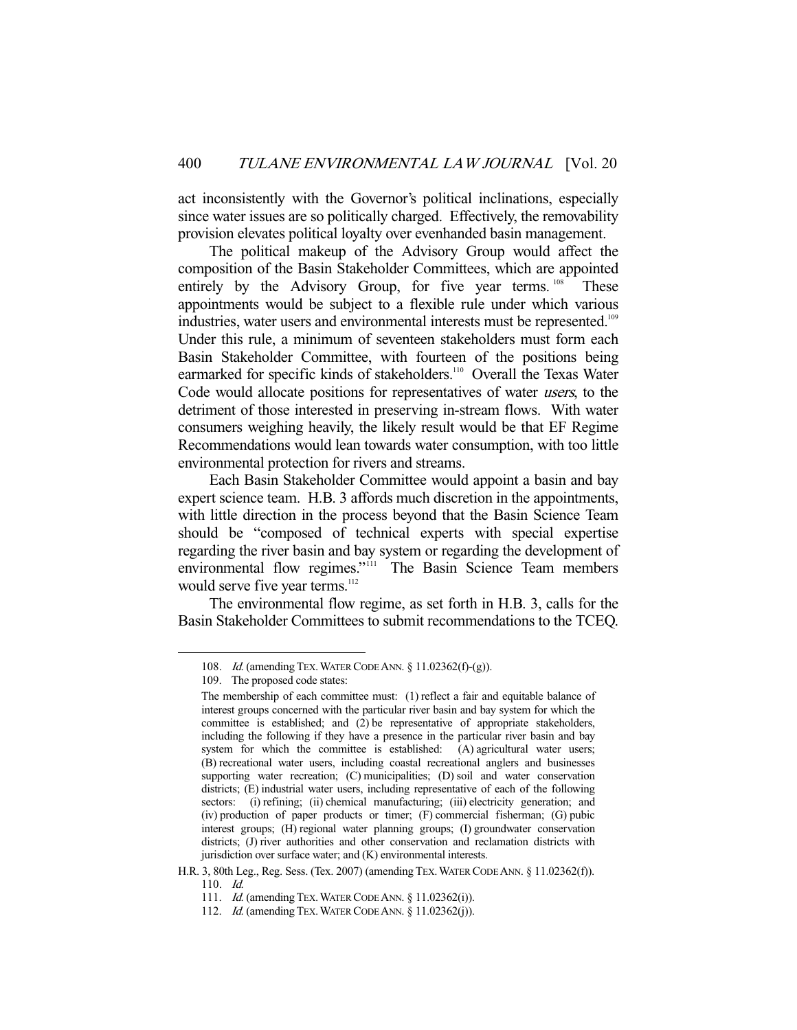act inconsistently with the Governor's political inclinations, especially since water issues are so politically charged. Effectively, the removability provision elevates political loyalty over evenhanded basin management.

 The political makeup of the Advisory Group would affect the composition of the Basin Stakeholder Committees, which are appointed entirely by the Advisory Group, for five year terms. <sup>108</sup> These appointments would be subject to a flexible rule under which various industries, water users and environmental interests must be represented.<sup>109</sup> Under this rule, a minimum of seventeen stakeholders must form each Basin Stakeholder Committee, with fourteen of the positions being earmarked for specific kinds of stakeholders.<sup>110</sup> Overall the Texas Water Code would allocate positions for representatives of water users, to the detriment of those interested in preserving in-stream flows. With water consumers weighing heavily, the likely result would be that EF Regime Recommendations would lean towards water consumption, with too little environmental protection for rivers and streams.

 Each Basin Stakeholder Committee would appoint a basin and bay expert science team. H.B. 3 affords much discretion in the appointments, with little direction in the process beyond that the Basin Science Team should be "composed of technical experts with special expertise regarding the river basin and bay system or regarding the development of environmental flow regimes."<sup>111</sup> The Basin Science Team members would serve five year terms.<sup>112</sup>

 The environmental flow regime, as set forth in H.B. 3, calls for the Basin Stakeholder Committees to submit recommendations to the TCEQ.

 <sup>108.</sup> Id. (amending TEX.WATER CODE ANN. § 11.02362(f)-(g)).

 <sup>109.</sup> The proposed code states:

The membership of each committee must: (1) reflect a fair and equitable balance of interest groups concerned with the particular river basin and bay system for which the committee is established; and (2) be representative of appropriate stakeholders, including the following if they have a presence in the particular river basin and bay system for which the committee is established: (A) agricultural water users; (B) recreational water users, including coastal recreational anglers and businesses supporting water recreation; (C) municipalities; (D) soil and water conservation districts; (E) industrial water users, including representative of each of the following sectors: (i) refining; (ii) chemical manufacturing; (iii) electricity generation; and (iv) production of paper products or timer; (F) commercial fisherman; (G) pubic interest groups; (H) regional water planning groups; (I) groundwater conservation districts; (J) river authorities and other conservation and reclamation districts with jurisdiction over surface water; and (K) environmental interests.

H.R. 3, 80th Leg., Reg. Sess. (Tex. 2007) (amending TEX.WATER CODE ANN. § 11.02362(f)). 110. Id.

 <sup>111.</sup> Id. (amending TEX.WATER CODE ANN. § 11.02362(i)).

 <sup>112.</sup> Id. (amending TEX.WATER CODE ANN. § 11.02362(j)).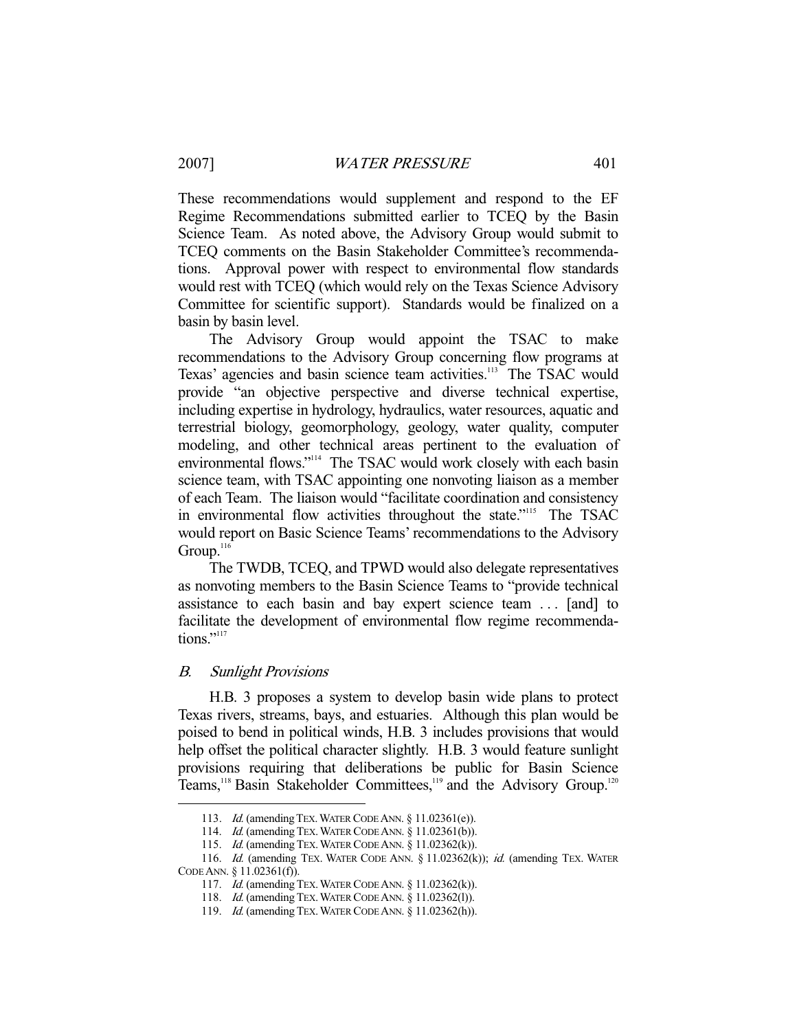These recommendations would supplement and respond to the EF Regime Recommendations submitted earlier to TCEQ by the Basin Science Team. As noted above, the Advisory Group would submit to TCEQ comments on the Basin Stakeholder Committee's recommendations. Approval power with respect to environmental flow standards would rest with TCEQ (which would rely on the Texas Science Advisory Committee for scientific support). Standards would be finalized on a basin by basin level.

 The Advisory Group would appoint the TSAC to make recommendations to the Advisory Group concerning flow programs at Texas' agencies and basin science team activities.<sup>113</sup> The TSAC would provide "an objective perspective and diverse technical expertise, including expertise in hydrology, hydraulics, water resources, aquatic and terrestrial biology, geomorphology, geology, water quality, computer modeling, and other technical areas pertinent to the evaluation of environmental flows."<sup>114</sup> The TSAC would work closely with each basin science team, with TSAC appointing one nonvoting liaison as a member of each Team. The liaison would "facilitate coordination and consistency in environmental flow activities throughout the state."<sup>115</sup> The TSAC would report on Basic Science Teams' recommendations to the Advisory Group.<sup>116</sup>

 The TWDB, TCEQ, and TPWD would also delegate representatives as nonvoting members to the Basin Science Teams to "provide technical assistance to each basin and bay expert science team . . . [and] to facilitate the development of environmental flow regime recommendations."<sup>117</sup>

# B. Sunlight Provisions

-

H.B. 3 proposes a system to develop basin wide plans to protect Texas rivers, streams, bays, and estuaries. Although this plan would be poised to bend in political winds, H.B. 3 includes provisions that would help offset the political character slightly. H.B. 3 would feature sunlight provisions requiring that deliberations be public for Basin Science Teams,<sup>118</sup> Basin Stakeholder Committees,<sup>119</sup> and the Advisory Group.<sup>120</sup>

<sup>113.</sup> *Id.* (amending TEX. WATER CODE ANN. § 11.02361(e)).

<sup>114.</sup> *Id.* (amending TEX. WATER CODE ANN. § 11.02361(b)).

 <sup>115.</sup> Id. (amending TEX.WATER CODE ANN. § 11.02362(k)).

<sup>116.</sup> Id. (amending TEX. WATER CODE ANN. § 11.02362(k)); id. (amending TEX. WATER CODE ANN. § 11.02361(f)).

<sup>117.</sup> *Id.* (amending TEX. WATER CODE ANN. § 11.02362(k)).

 <sup>118.</sup> Id. (amending TEX.WATER CODE ANN. § 11.02362(l)).

 <sup>119.</sup> Id. (amending TEX.WATER CODE ANN. § 11.02362(h)).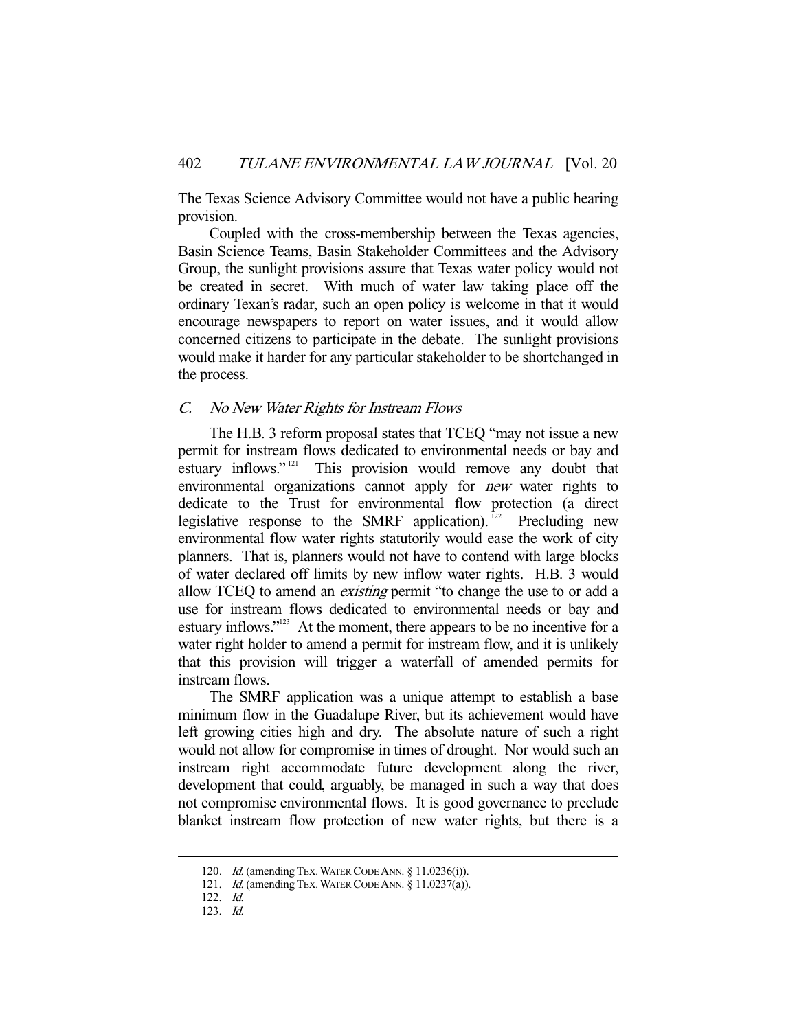The Texas Science Advisory Committee would not have a public hearing provision.

 Coupled with the cross-membership between the Texas agencies, Basin Science Teams, Basin Stakeholder Committees and the Advisory Group, the sunlight provisions assure that Texas water policy would not be created in secret. With much of water law taking place off the ordinary Texan's radar, such an open policy is welcome in that it would encourage newspapers to report on water issues, and it would allow concerned citizens to participate in the debate. The sunlight provisions would make it harder for any particular stakeholder to be shortchanged in the process.

#### C. No New Water Rights for Instream Flows

The H.B. 3 reform proposal states that TCEQ "may not issue a new permit for instream flows dedicated to environmental needs or bay and estuary inflows."<sup>121</sup> This provision would remove any doubt that environmental organizations cannot apply for *new* water rights to dedicate to the Trust for environmental flow protection (a direct legislative response to the SMRF application).<sup>122</sup> Precluding new environmental flow water rights statutorily would ease the work of city planners. That is, planners would not have to contend with large blocks of water declared off limits by new inflow water rights. H.B. 3 would allow TCEQ to amend an *existing* permit "to change the use to or add a use for instream flows dedicated to environmental needs or bay and estuary inflows."<sup>123</sup> At the moment, there appears to be no incentive for a water right holder to amend a permit for instream flow, and it is unlikely that this provision will trigger a waterfall of amended permits for instream flows.

 The SMRF application was a unique attempt to establish a base minimum flow in the Guadalupe River, but its achievement would have left growing cities high and dry. The absolute nature of such a right would not allow for compromise in times of drought. Nor would such an instream right accommodate future development along the river, development that could, arguably, be managed in such a way that does not compromise environmental flows. It is good governance to preclude blanket instream flow protection of new water rights, but there is a

<sup>120.</sup> *Id.* (amending TEX. WATER CODE ANN. § 11.0236(i)).

<sup>121.</sup> *Id.* (amending TEX. WATER CODE ANN. § 11.0237(a)).

 <sup>122.</sup> Id.

 <sup>123.</sup> Id.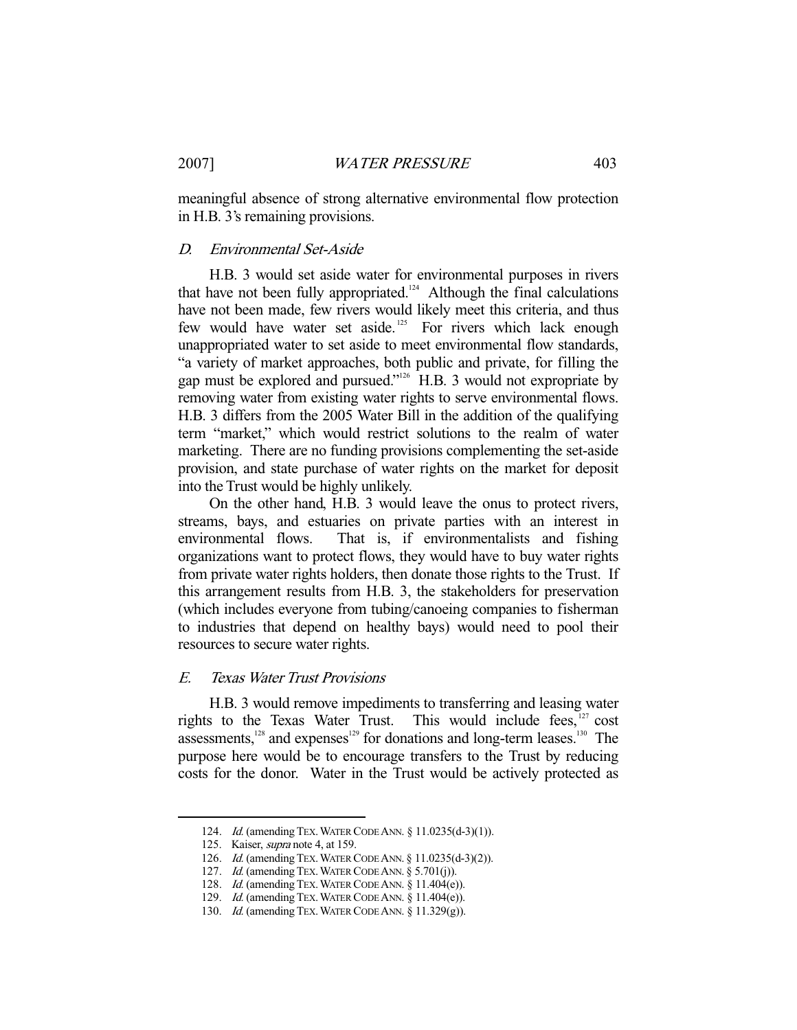meaningful absence of strong alternative environmental flow protection in H.B. 3's remaining provisions.

## D. Environmental Set-Aside

H.B. 3 would set aside water for environmental purposes in rivers that have not been fully appropriated.<sup>124</sup> Although the final calculations have not been made, few rivers would likely meet this criteria, and thus few would have water set aside.<sup>125</sup> For rivers which lack enough unappropriated water to set aside to meet environmental flow standards, "a variety of market approaches, both public and private, for filling the gap must be explored and pursued."126 H.B. 3 would not expropriate by removing water from existing water rights to serve environmental flows. H.B. 3 differs from the 2005 Water Bill in the addition of the qualifying term "market," which would restrict solutions to the realm of water marketing. There are no funding provisions complementing the set-aside provision, and state purchase of water rights on the market for deposit into the Trust would be highly unlikely.

 On the other hand, H.B. 3 would leave the onus to protect rivers, streams, bays, and estuaries on private parties with an interest in environmental flows. That is, if environmentalists and fishing organizations want to protect flows, they would have to buy water rights from private water rights holders, then donate those rights to the Trust. If this arrangement results from H.B. 3, the stakeholders for preservation (which includes everyone from tubing/canoeing companies to fisherman to industries that depend on healthy bays) would need to pool their resources to secure water rights.

#### E. Texas Water Trust Provisions

H.B. 3 would remove impediments to transferring and leasing water rights to the Texas Water Trust. This would include fees,<sup>127</sup> cost assessments,  $128$  and expenses  $129$  for donations and long-term leases.<sup>130</sup> The purpose here would be to encourage transfers to the Trust by reducing costs for the donor. Water in the Trust would be actively protected as

 <sup>124.</sup> Id. (amending TEX.WATER CODE ANN. § 11.0235(d-3)(1)).

<sup>125.</sup> Kaiser, *supra* note 4, at 159.

 <sup>126.</sup> Id. (amending TEX.WATER CODE ANN. § 11.0235(d-3)(2)).

<sup>127.</sup> Id. (amending TEX. WATER CODE ANN. § 5.701(j)).

 <sup>128.</sup> Id. (amending TEX.WATER CODE ANN. § 11.404(e)).

 <sup>129.</sup> Id. (amending TEX.WATER CODE ANN. § 11.404(e)).

 <sup>130.</sup> Id. (amending TEX.WATER CODE ANN. § 11.329(g)).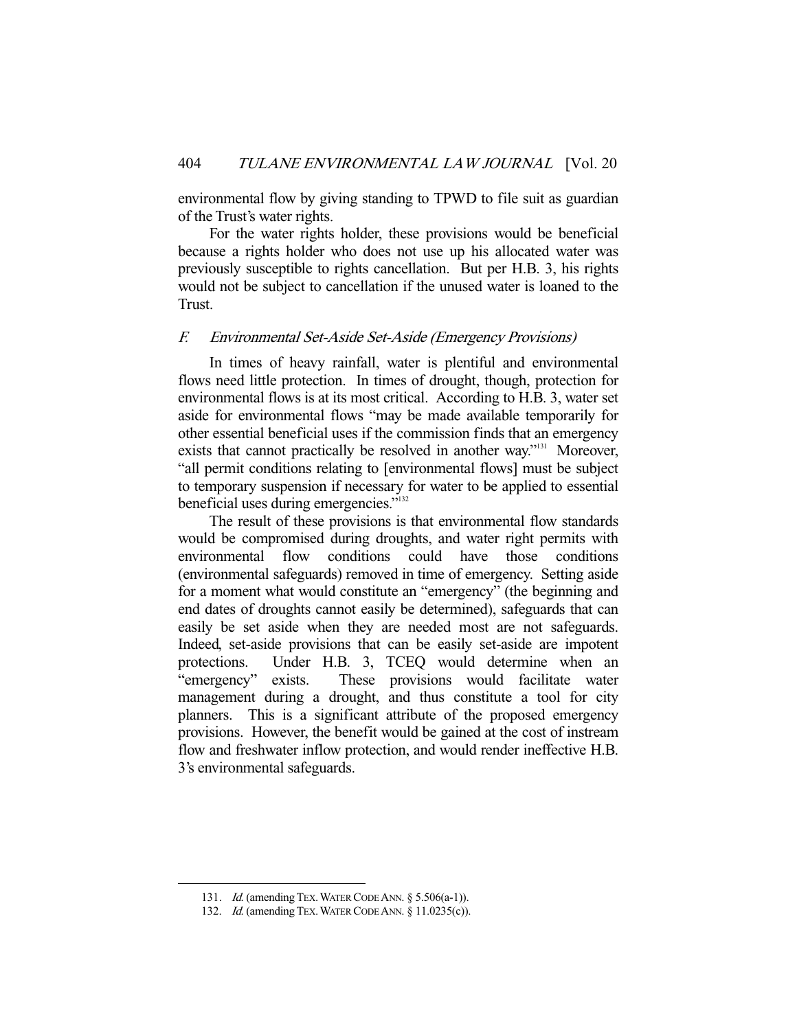environmental flow by giving standing to TPWD to file suit as guardian of the Trust's water rights.

 For the water rights holder, these provisions would be beneficial because a rights holder who does not use up his allocated water was previously susceptible to rights cancellation. But per H.B. 3, his rights would not be subject to cancellation if the unused water is loaned to the Trust.

# F. Environmental Set-Aside Set-Aside (Emergency Provisions)

In times of heavy rainfall, water is plentiful and environmental flows need little protection. In times of drought, though, protection for environmental flows is at its most critical. According to H.B. 3, water set aside for environmental flows "may be made available temporarily for other essential beneficial uses if the commission finds that an emergency exists that cannot practically be resolved in another way."<sup>131</sup> Moreover, "all permit conditions relating to [environmental flows] must be subject to temporary suspension if necessary for water to be applied to essential beneficial uses during emergencies."<sup>132</sup>

 The result of these provisions is that environmental flow standards would be compromised during droughts, and water right permits with environmental flow conditions could have those conditions (environmental safeguards) removed in time of emergency. Setting aside for a moment what would constitute an "emergency" (the beginning and end dates of droughts cannot easily be determined), safeguards that can easily be set aside when they are needed most are not safeguards. Indeed, set-aside provisions that can be easily set-aside are impotent protections. Under H.B. 3, TCEQ would determine when an "emergency" exists. These provisions would facilitate water management during a drought, and thus constitute a tool for city planners. This is a significant attribute of the proposed emergency provisions. However, the benefit would be gained at the cost of instream flow and freshwater inflow protection, and would render ineffective H.B. 3's environmental safeguards.

<sup>131.</sup> *Id.* (amending TEX. WATER CODE ANN. § 5.506(a-1)).

<sup>132.</sup> *Id.* (amending TEX. WATER CODE ANN. § 11.0235(c)).